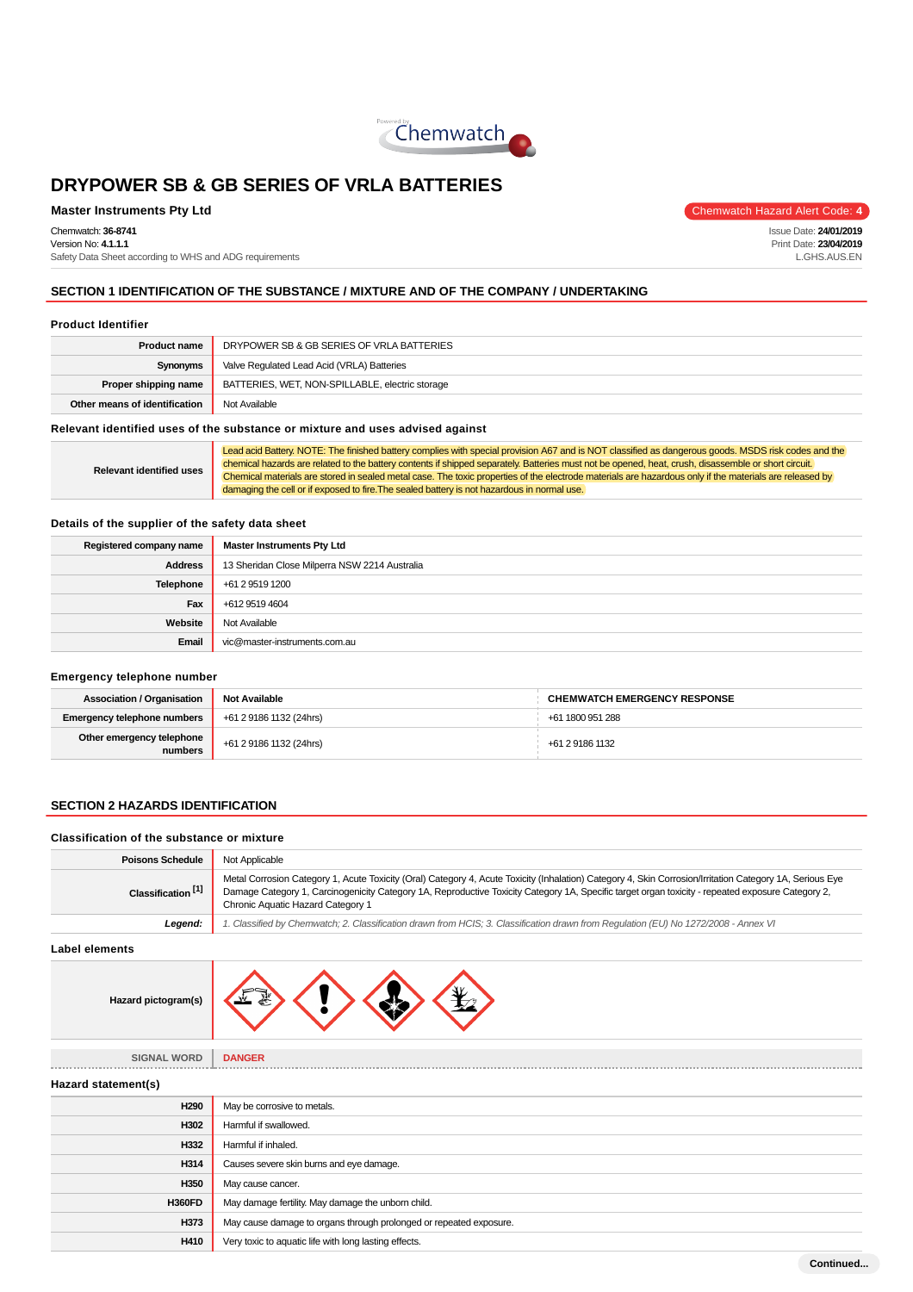

### **Master Instruments Pty Ltd** Chemwatch Hazard Alert Code: 4

Chemwatch: **36-8741** Version No: **4.1.1.1**

Safety Data Sheet according to WHS and ADG requirements

Issue Date: **24/01/2019**

Print Date: **23/04/2019** L.GHS.AUS.EN

**SECTION 1 IDENTIFICATION OF THE SUBSTANCE / MIXTURE AND OF THE COMPANY / UNDERTAKING**

#### **Product Identifier**

| <b>Product name</b>           | DRYPOWER SB & GB SERIES OF VRLA BATTERIES       |
|-------------------------------|-------------------------------------------------|
| Synonyms                      | Valve Regulated Lead Acid (VRLA) Batteries      |
| Proper shipping name          | BATTERIES, WET, NON-SPILLABLE, electric storage |
| Other means of identification | Not Available                                   |
|                               |                                                 |

**Relevant identified uses of the substance or mixture and uses advised against**

**Relevant identified uses** Lead acid Battery. NOTE: The finished battery complies with special provision A67 and is NOT classified as dangerous goods. MSDS risk codes and the chemical hazards are related to the battery contents if shipped separately. Batteries must not be opened, heat, crush, disassemble or short circuit. Chemical materials are stored in sealed metal case. The toxic properties of the electrode materials are hazardous only if the materials are released by damaging the cell or if exposed to fire.The sealed battery is not hazardous in normal use.

#### **Details of the supplier of the safety data sheet**

| Registered company name | <b>Master Instruments Pty Ltd</b>             |
|-------------------------|-----------------------------------------------|
| <b>Address</b>          | 13 Sheridan Close Milperra NSW 2214 Australia |
| Telephone               | +61 2 9519 1200                               |
| Fax                     | +612 9519 4604                                |
| Website                 | Not Available                                 |
| Email                   | vic@master-instruments.com.au                 |

#### **Emergency telephone number**

| <b>Association / Organisation</b>    | <b>Not Available</b>    | <b>CHEMWATCH EMERGENCY RESPONSE</b> |
|--------------------------------------|-------------------------|-------------------------------------|
| <b>Emergency telephone numbers</b>   | +61 2 9186 1132 (24hrs) | +61 1800 951 288                    |
| Other emergency telephone<br>numbers | +61 2 9186 1132 (24hrs) | +61 2 9186 1132                     |

### **SECTION 2 HAZARDS IDENTIFICATION**

#### **Classification of the substance or mixture**

| <b>Poisons Schedule</b>       | Not Applicable                                                                                                                                                                                                                                                                                                                                     |
|-------------------------------|----------------------------------------------------------------------------------------------------------------------------------------------------------------------------------------------------------------------------------------------------------------------------------------------------------------------------------------------------|
| Classification <sup>[1]</sup> | Metal Corrosion Category 1, Acute Toxicity (Oral) Category 4, Acute Toxicity (Inhalation) Category 4, Skin Corrosion/Irritation Category 1A, Serious Eye<br>Damage Category 1, Carcinogenicity Category 1A, Reproductive Toxicity Category 1A, Specific target organ toxicity - repeated exposure Category 2,<br>Chronic Aquatic Hazard Category 1 |
| Legend:                       | 1. Classified by Chemwatch; 2. Classification drawn from HCIS; 3. Classification drawn from Requlation (EU) No 1272/2008 - Annex VI                                                                                                                                                                                                                |
| Label elements                |                                                                                                                                                                                                                                                                                                                                                    |

**Label elements**

| Hazard pictogram(s) |  |
|---------------------|--|
|---------------------|--|

**SIGNAL WORD DANGER**

**Hazard statement(s)**

| H290          | May be corrosive to metals.                                        |  |
|---------------|--------------------------------------------------------------------|--|
| H302          | Harmful if swallowed.                                              |  |
| H332          | Harmful if inhaled.                                                |  |
| H314          | Causes severe skin burns and eye damage.                           |  |
| H350          | May cause cancer.                                                  |  |
| <b>H360FD</b> | May damage fertility. May damage the unborn child.                 |  |
| H373          | May cause damage to organs through prolonged or repeated exposure. |  |
| H410          | Very toxic to aquatic life with long lasting effects.              |  |
|               |                                                                    |  |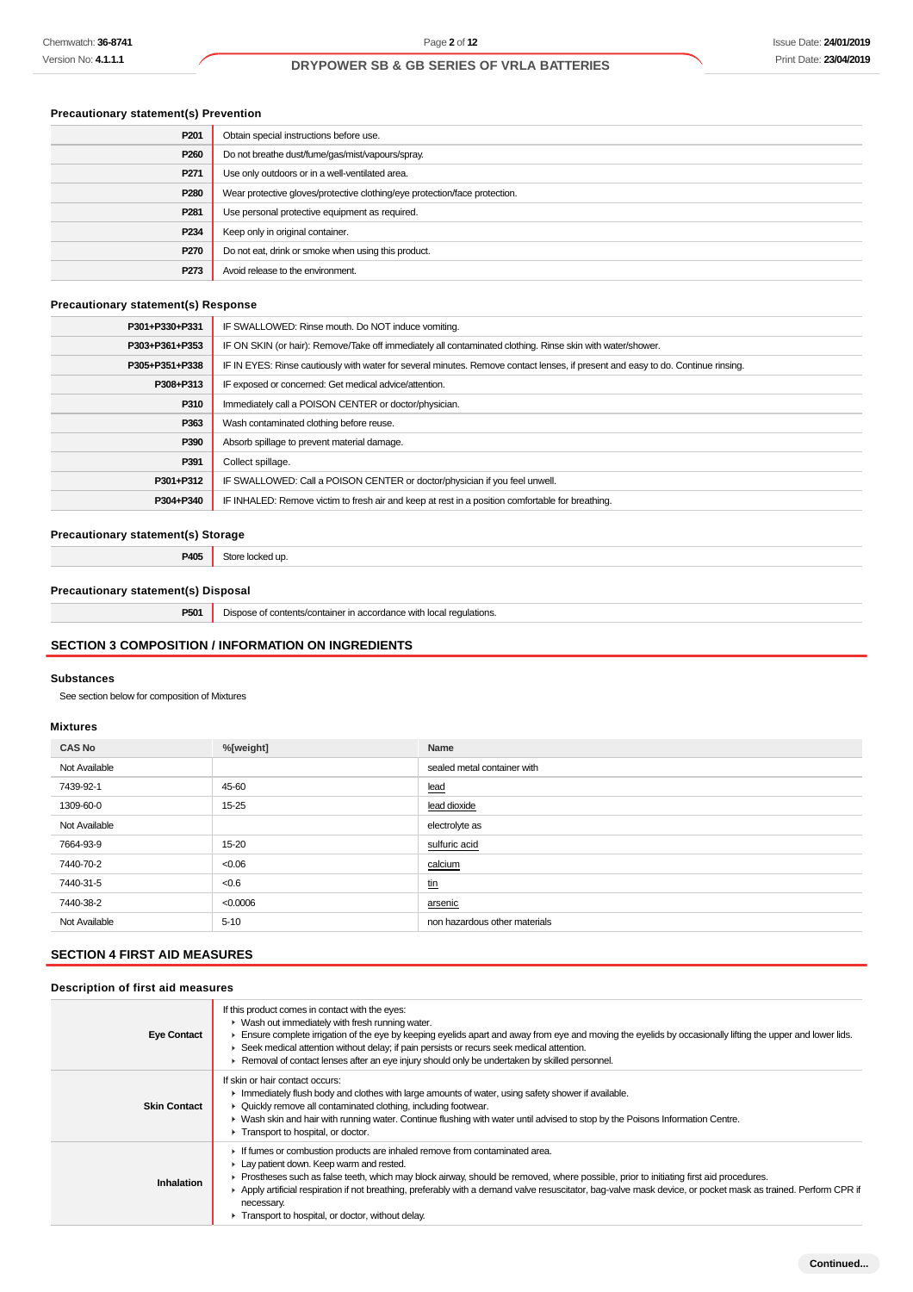# **Precautionary statement(s) Prevention**

| P <sub>201</sub> | Obtain special instructions before use.                                    |
|------------------|----------------------------------------------------------------------------|
| P <sub>260</sub> | Do not breathe dust/fume/gas/mist/vapours/spray.                           |
| P <sub>271</sub> | Use only outdoors or in a well-ventilated area.                            |
| P280             | Wear protective gloves/protective clothing/eye protection/face protection. |
| P <sub>281</sub> | Use personal protective equipment as required.                             |
| P <sub>234</sub> | Keep only in original container.                                           |
| P270             | Do not eat, drink or smoke when using this product.                        |
| P273             | Avoid release to the environment.                                          |
|                  |                                                                            |

#### **Precautionary statement(s) Response**

| P301+P330+P331 | IF SWALLOWED: Rinse mouth. Do NOT induce vomiting.                                                                               |
|----------------|----------------------------------------------------------------------------------------------------------------------------------|
| P303+P361+P353 | IF ON SKIN (or hair): Remove/Take off immediately all contaminated clothing. Rinse skin with water/shower.                       |
| P305+P351+P338 | IF IN EYES: Rinse cautiously with water for several minutes. Remove contact lenses, if present and easy to do. Continue rinsing. |
| P308+P313      | IF exposed or concerned: Get medical advice/attention.                                                                           |
| P310           | Immediately call a POISON CENTER or doctor/physician.                                                                            |
| P363           | Wash contaminated clothing before reuse.                                                                                         |
| P390           | Absorb spillage to prevent material damage.                                                                                      |
| P391           | Collect spillage.                                                                                                                |
| P301+P312      | IF SWALLOWED: Call a POISON CENTER or doctor/physician if you feel unwell.                                                       |
| P304+P340      | IF INHALED: Remove victim to fresh air and keep at rest in a position comfortable for breathing.                                 |

## **Precautionary statement(s) Storage**

**P405** Store locked up.

## **Precautionary statement(s) Disposal**

**P501** Dispose of contents/container in accordance with local regulations.

## **SECTION 3 COMPOSITION / INFORMATION ON INGREDIENTS**

#### **Substances**

See section below for composition of Mixtures

#### **Mixtures**

| <b>CAS No</b> | %[weight] | Name                          |
|---------------|-----------|-------------------------------|
| Not Available |           | sealed metal container with   |
| 7439-92-1     | 45-60     | lead                          |
| 1309-60-0     | $15 - 25$ | lead dioxide                  |
| Not Available |           | electrolyte as                |
| 7664-93-9     | 15-20     | sulfuric acid                 |
| 7440-70-2     | < 0.06    | calcium                       |
| 7440-31-5     | < 0.6     | <u>tin</u>                    |
| 7440-38-2     | < 0.0006  | arsenic                       |
| Not Available | $5 - 10$  | non hazardous other materials |

## **SECTION 4 FIRST AID MEASURES**

### **Description of first aid measures**

| <b>Eye Contact</b>  | If this product comes in contact with the eyes:<br>$\blacktriangleright$ Wash out immediately with fresh running water.<br>Ensure complete irrigation of the eye by keeping eyelids apart and away from eye and moving the eyelids by occasionally lifting the upper and lower lids.<br>► Seek medical attention without delay; if pain persists or recurs seek medical attention.<br>▶ Removal of contact lenses after an eye injury should only be undertaken by skilled personnel.               |
|---------------------|-----------------------------------------------------------------------------------------------------------------------------------------------------------------------------------------------------------------------------------------------------------------------------------------------------------------------------------------------------------------------------------------------------------------------------------------------------------------------------------------------------|
| <b>Skin Contact</b> | If skin or hair contact occurs:<br>Immediately flush body and clothes with large amounts of water, using safety shower if available.<br>• Quickly remove all contaminated clothing, including footwear.<br>• Wash skin and hair with running water. Continue flushing with water until advised to stop by the Poisons Information Centre.<br>Transport to hospital, or doctor.                                                                                                                      |
| Inhalation          | If fumes or combustion products are inhaled remove from contaminated area.<br>Lay patient down. Keep warm and rested.<br>► Prostheses such as false teeth, which may block airway, should be removed, where possible, prior to initiating first aid procedures.<br>▶ Apply artificial respiration if not breathing, preferably with a demand valve resuscitator, bag-valve mask device, or pocket mask as trained. Perform CPR if<br>necessary.<br>Transport to hospital, or doctor, without delay. |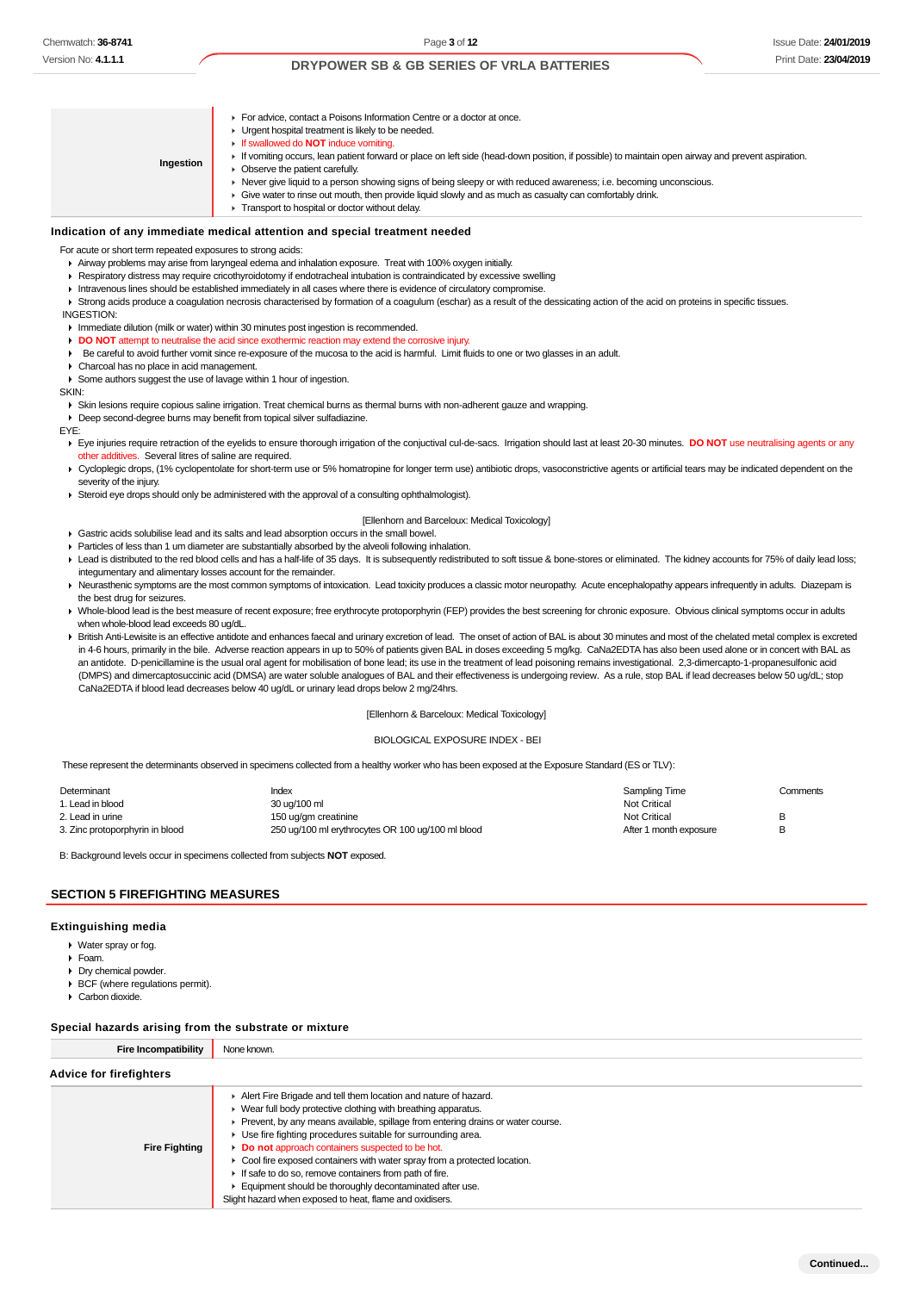### Issue Date: **24/01/2019** Print Date: **23/04/2019**

### **DRYPOWER SB & GB SERIES OF VRLA BATTERIES**

| Ingestion | For advice, contact a Poisons Information Centre or a doctor at once.<br>• Urgent hospital treatment is likely to be needed.<br><b>If swallowed do NOT induce vomiting.</b><br>If vomiting occurs, lean patient forward or place on left side (head-down position, if possible) to maintain open airway and prevent aspiration.<br>• Observe the patient carefully.<br>► Never give liquid to a person showing signs of being sleepy or with reduced awareness; i.e. becoming unconscious.<br>• Give water to rinse out mouth, then provide liquid slowly and as much as casualty can comfortably drink.<br>Transport to hospital or doctor without delay. |
|-----------|------------------------------------------------------------------------------------------------------------------------------------------------------------------------------------------------------------------------------------------------------------------------------------------------------------------------------------------------------------------------------------------------------------------------------------------------------------------------------------------------------------------------------------------------------------------------------------------------------------------------------------------------------------|
|-----------|------------------------------------------------------------------------------------------------------------------------------------------------------------------------------------------------------------------------------------------------------------------------------------------------------------------------------------------------------------------------------------------------------------------------------------------------------------------------------------------------------------------------------------------------------------------------------------------------------------------------------------------------------------|

#### **Indication of any immediate medical attention and special treatment needed**

For acute or short term repeated exposures to strong acids:

- Airway problems may arise from laryngeal edema and inhalation exposure. Treat with 100% oxygen initially.
- **Respiratory distress may require cricothyroidotomy if endotracheal intubation is contraindicated by excessive swelling**
- Intravenous lines should be established immediately in all cases where there is evidence of circulatory compromise.
- Strong acids produce a coagulation necrosis characterised by formation of a coagulum (eschar) as a result of the dessicating action of the acid on proteins in specific tissues. INGESTION:
- **Immediate dilution (milk or water) within 30 minutes post ingestion is recommended.**
- **DO NOT** attempt to neutralise the acid since exothermic reaction may extend the corrosive injury.
- Be careful to avoid further vomit since re-exposure of the mucosa to the acid is harmful. Limit fluids to one or two glasses in an adult.
- Charcoal has no place in acid management.
- Some authors suggest the use of lavage within 1 hour of ingestion.

SKIN:

Skin lesions require copious saline irrigation. Treat chemical burns as thermal burns with non-adherent gauze and wrapping.

Deep second-degree burns may benefit from topical silver sulfadiazine.

EYE:

- Eye injuries require retraction of the eyelids to ensure thorough irrigation of the conjuctival cul-de-sacs. Irrigation should last at least 20-30 minutes. DO NOT use neutralising agents or any other additives. Several litres of saline are required.
- ▶ Cycloplegic drops, (1% cyclopentolate for short-term use or 5% homatropine for longer term use) antibiotic drops, vasoconstrictive agents or artificial tears may be indicated dependent on the severity of the injury.
- Steroid eye drops should only be administered with the approval of a consulting ophthalmologist).

#### [Ellenhorn and Barceloux: Medical Toxicology]

- Gastric acids solubilise lead and its salts and lead absorption occurs in the small bowel.
- Particles of less than 1 um diameter are substantially absorbed by the alveoli following inhalation.
- Ead is distributed to the red blood cells and has a half-life of 35 days. It is subsequently redistributed to soft tissue & bone-stores or eliminated. The kidney accounts for 75% of daily lead loss; integumentary and alimentary losses account for the remainder.
- Neurasthenic symptoms are the most common symptoms of intoxication. Lead toxicity produces a classic motor neuropathy. Acute encephalopathy appears infrequently in adults. Diazepam is the best drug for seizures.
- > Whole-blood lead is the best measure of recent exposure; free erythrocyte protoporphyrin (FEP) provides the best screening for chronic exposure. Obvious clinical symptoms occur in adults when whole-blood lead exceeds 80 ug/dL.
- ▶ British Anti-Lewisite is an effective antidote and enhances faecal and urinary excretion of lead. The onset of action of BAL is about 30 minutes and most of the chelated metal complex is excreted in 4-6 hours, primarily in the bile. Adverse reaction appears in up to 50% of patients given BAL in doses exceeding 5 mg/kg. CaNa2EDTA has also been used alone or in concert with BAL as an antidote. D-penicillamine is the usual oral agent for mobilisation of bone lead; its use in the treatment of lead poisoning remains investigational. 2,3-dimercapto-1-propanesulfonic acid (DMPS) and dimercaptosuccinic acid (DMSA) are water soluble analogues of BAL and their effectiveness is undergoing review. As a rule, stop BAL if lead decreases below 50 ug/dL; stop CaNa2EDTA if blood lead decreases below 40 ug/dL or urinary lead drops below 2 mg/24hrs.

#### [Ellenhorn & Barceloux: Medical Toxicology]

#### BIOLOGICAL EXPOSURE INDEX - BEI

These represent the determinants observed in specimens collected from a healthy worker who has been exposed at the Exposure Standard (ES or TLV):

| Determinant                     | Index                                             | Sampling Time          | Comments |
|---------------------------------|---------------------------------------------------|------------------------|----------|
| 1. Lead in blood                | 30 ug/100 ml                                      | <b>Not Critical</b>    |          |
| 2. Lead in urine                | 150 ug/gm creatinine                              | Not Critical           | R        |
| 3. Zinc protoporphyrin in blood | 250 ug/100 ml erythrocytes OR 100 ug/100 ml blood | After 1 month exposure | R        |

B: Background levels occur in specimens collected from subjects **NOT** exposed.

#### **SECTION 5 FIREFIGHTING MEASURES**

#### **Extinguishing media**

- ▶ Water spray or fog.
- Foam.
- Dry chemical powder
- BCF (where regulations permit).
- Carbon dioxide.

#### **Special hazards arising from the substrate or mixture**

| opoolar nazarao amonig n'om tho oabotrato or mixtaro |                                                                                                                                                                                                                                                                                                                                                                                                                                                                                                                                                                                                            |
|------------------------------------------------------|------------------------------------------------------------------------------------------------------------------------------------------------------------------------------------------------------------------------------------------------------------------------------------------------------------------------------------------------------------------------------------------------------------------------------------------------------------------------------------------------------------------------------------------------------------------------------------------------------------|
| <b>Fire Incompatibility</b>                          | None known.                                                                                                                                                                                                                                                                                                                                                                                                                                                                                                                                                                                                |
| <b>Advice for firefighters</b>                       |                                                                                                                                                                                                                                                                                                                                                                                                                                                                                                                                                                                                            |
| <b>Fire Fighting</b>                                 | Alert Fire Brigade and tell them location and nature of hazard.<br>▶ Wear full body protective clothing with breathing apparatus.<br>• Prevent, by any means available, spillage from entering drains or water course.<br>▶ Use fire fighting procedures suitable for surrounding area.<br>Do not approach containers suspected to be hot.<br>• Cool fire exposed containers with water spray from a protected location.<br>If safe to do so, remove containers from path of fire.<br>Equipment should be thoroughly decontaminated after use.<br>Slight hazard when exposed to heat, flame and oxidisers. |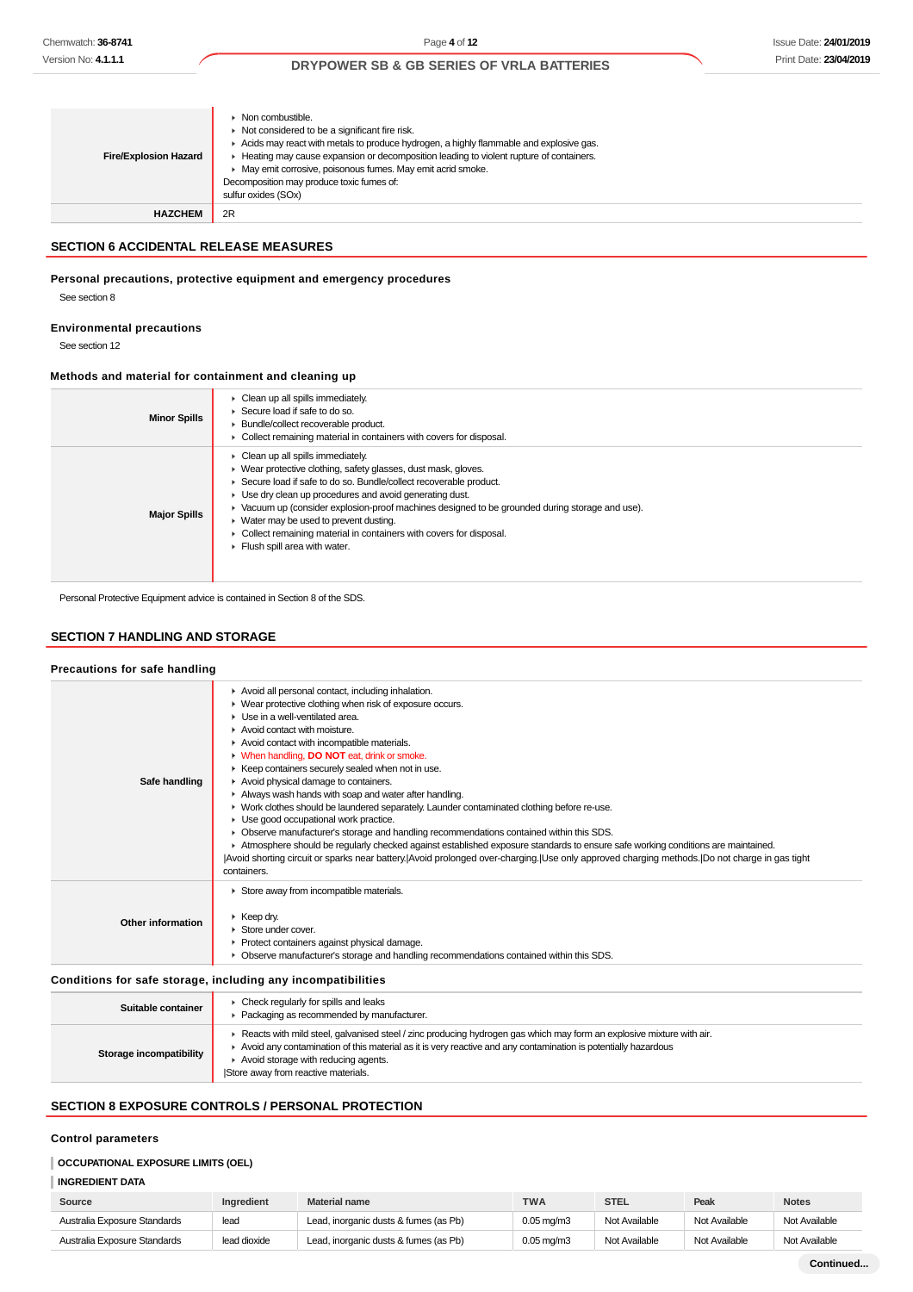| <b>Fire/Explosion Hazard</b> | Non combustible.<br>Not considered to be a significant fire risk.<br>Acids may react with metals to produce hydrogen, a highly flammable and explosive gas.<br>Heating may cause expansion or decomposition leading to violent rupture of containers.<br>May emit corrosive, poisonous fumes. May emit acrid smoke.<br>Decomposition may produce toxic fumes of:<br>sulfur oxides (SOx) |
|------------------------------|-----------------------------------------------------------------------------------------------------------------------------------------------------------------------------------------------------------------------------------------------------------------------------------------------------------------------------------------------------------------------------------------|
| <b>HAZCHEM</b>               | 2R                                                                                                                                                                                                                                                                                                                                                                                      |

### **SECTION 6 ACCIDENTAL RELEASE MEASURES**

#### **Personal precautions, protective equipment and emergency procedures**

See section 8

#### **Environmental precautions**

See section 12

## **Methods and material for containment and cleaning up**

| <b>Minor Spills</b> | $\triangleright$ Clean up all spills immediately.<br>Secure load if safe to do so.<br>Bundle/collect recoverable product.<br>Collect remaining material in containers with covers for disposal.                                                                                                                                                                                                                                                                                                                                   |
|---------------------|-----------------------------------------------------------------------------------------------------------------------------------------------------------------------------------------------------------------------------------------------------------------------------------------------------------------------------------------------------------------------------------------------------------------------------------------------------------------------------------------------------------------------------------|
| <b>Major Spills</b> | Clean up all spills immediately.<br>▶ Wear protective clothing, safety glasses, dust mask, gloves.<br>Secure load if safe to do so. Bundle/collect recoverable product.<br>$\blacktriangleright$ Use dry clean up procedures and avoid generating dust.<br>► Vacuum up (consider explosion-proof machines designed to be grounded during storage and use).<br>$\blacktriangleright$ Water may be used to prevent dusting.<br>► Collect remaining material in containers with covers for disposal.<br>Flush spill area with water. |

Personal Protective Equipment advice is contained in Section 8 of the SDS.

### **SECTION 7 HANDLING AND STORAGE**

## **Precautions for safe handling**

| Conditions for safe storage, including any incompatibilities                                                                                                                                                                                                                                                                                                                                                                                                                                                                                                                                                                                                                                                                                                                                                                                                                                                                                                                                  |  |
|-----------------------------------------------------------------------------------------------------------------------------------------------------------------------------------------------------------------------------------------------------------------------------------------------------------------------------------------------------------------------------------------------------------------------------------------------------------------------------------------------------------------------------------------------------------------------------------------------------------------------------------------------------------------------------------------------------------------------------------------------------------------------------------------------------------------------------------------------------------------------------------------------------------------------------------------------------------------------------------------------|--|
| Store away from incompatible materials.<br>$\triangleright$ Keep dry.<br>Other information<br>Store under cover.<br>• Protect containers against physical damage.<br>• Observe manufacturer's storage and handling recommendations contained within this SDS.                                                                                                                                                                                                                                                                                                                                                                                                                                                                                                                                                                                                                                                                                                                                 |  |
| Avoid all personal contact, including inhalation.<br>► Wear protective clothing when risk of exposure occurs.<br>Use in a well-ventilated area.<br>Avoid contact with moisture.<br>Avoid contact with incompatible materials.<br>• When handling, DO NOT eat, drink or smoke.<br>▶ Keep containers securely sealed when not in use.<br>Avoid physical damage to containers.<br>Safe handling<br>Always wash hands with soap and water after handling.<br>► Work clothes should be laundered separately. Launder contaminated clothing before re-use.<br>• Use good occupational work practice.<br>• Observe manufacturer's storage and handling recommendations contained within this SDS.<br>Atmosphere should be regularly checked against established exposure standards to ensure safe working conditions are maintained.<br>Avoid shorting circuit or sparks near battery. Avoid prolonged over-charging. Use only approved charging methods. IDo not charge in gas tight<br>containers. |  |

| Suitable container      | Check regularly for spills and leaks<br>Packaging as recommended by manufacturer.                                                                                                                                                                                                                                    |
|-------------------------|----------------------------------------------------------------------------------------------------------------------------------------------------------------------------------------------------------------------------------------------------------------------------------------------------------------------|
| Storage incompatibility | Reacts with mild steel, galvanised steel / zinc producing hydrogen gas which may form an explosive mixture with air.<br>Avoid any contamination of this material as it is very reactive and any contamination is potentially hazardous<br>Avoid storage with reducing agents.<br>Store away from reactive materials. |
|                         |                                                                                                                                                                                                                                                                                                                      |

## **SECTION 8 EXPOSURE CONTROLS / PERSONAL PROTECTION**

## **Control parameters**

## **OCCUPATIONAL EXPOSURE LIMITS (OEL)**

## **INGREDIENT DATA**

| Source                       | Ingredient   | <b>Material name</b>                  | <b>TWA</b>               | <b>STEL</b>   | Peak          | <b>Notes</b>  |
|------------------------------|--------------|---------------------------------------|--------------------------|---------------|---------------|---------------|
| Australia Exposure Standards | lead         | Lead, inorganic dusts & fumes (as Pb) | $0.05 \,\mathrm{mq/m}$ 3 | Not Available | Not Available | Not Available |
| Australia Exposure Standards | lead dioxide | Lead, inorganic dusts & fumes (as Pb) | $0.05 \text{ ma/m}$ 3    | Not Available | Not Available | Not Available |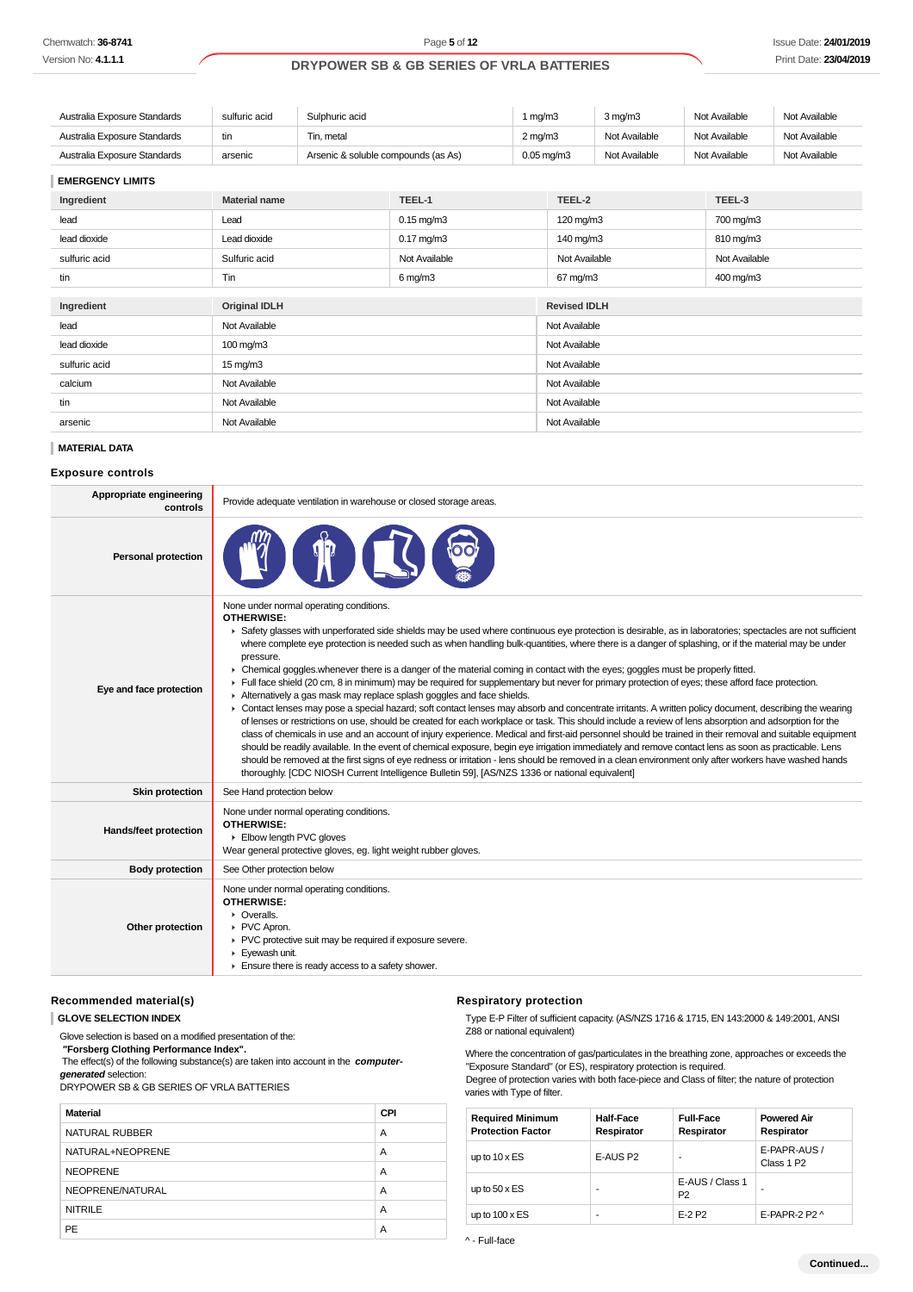| Australia Exposure Standards | sulfuric acid | Sulphuric acid                      |        | 1 ma/m3                 | $3 \text{ ma/m}$ 3 | Not Available | Not Available |
|------------------------------|---------------|-------------------------------------|--------|-------------------------|--------------------|---------------|---------------|
| Australia Exposure Standards | tin           | Tin. metal                          |        | $2 \text{ mg/m}$        | Not Available      | Not Available | Not Available |
| Australia Exposure Standards | arsenic       | Arsenic & soluble compounds (as As) |        | $0.05 \,\mathrm{mg/m3}$ | Not Available      | Not Available | Not Available |
| <b>EMERGENCY LIMITS</b>      |               |                                     |        |                         |                    |               |               |
| Ingredient                   | Material name |                                     | TFFI-1 | TFFI-2                  |                    | TFFL-3        |               |

| Ingredient    | <b>Material name</b> | TEEL-1                             | TEEL-2              | TEEL-3        |  |
|---------------|----------------------|------------------------------------|---------------------|---------------|--|
| lead          | Lead                 | $0.15$ mg/m $3$                    | 120 mg/m3           | 700 mg/m3     |  |
| lead dioxide  | Lead dioxide         | $0.17 \text{ mg/m}$ 3<br>140 mg/m3 |                     | 810 mg/m3     |  |
| sulfuric acid | Sulfuric acid        | Not Available                      | Not Available       | Not Available |  |
| tin           | Tin                  | $6$ mg/m $3$                       | 67 mg/m3            | 400 mg/m3     |  |
|               |                      |                                    |                     |               |  |
| Ingredient    | <b>Original IDLH</b> |                                    | <b>Revised IDLH</b> |               |  |
| lead          | Not Available        |                                    | Not Available       |               |  |
| lead dioxide  | 100 mg/m3            |                                    | Not Available       |               |  |
| sulfuric acid | $15 \text{ mg/m}$    |                                    | Not Available       |               |  |
| calcium       | Not Available        |                                    | Not Available       |               |  |
| tin           | Not Available        |                                    | Not Available       |               |  |
| arsenic       | Not Available        |                                    | Not Available       |               |  |

#### **MATERIAL DATA**

#### **Exposure controls**

| Appropriate engineering<br>controls | Provide adequate ventilation in warehouse or closed storage areas.                                                                                                                                                                                                                                                                                                                                                                                                                                                                                                                                                                                                                                                                                                                                                                                                                                                                                                                                                                                                                                                                                                                                                                                                                                                                                                                                                                                                                                                                                                                                                                                                     |
|-------------------------------------|------------------------------------------------------------------------------------------------------------------------------------------------------------------------------------------------------------------------------------------------------------------------------------------------------------------------------------------------------------------------------------------------------------------------------------------------------------------------------------------------------------------------------------------------------------------------------------------------------------------------------------------------------------------------------------------------------------------------------------------------------------------------------------------------------------------------------------------------------------------------------------------------------------------------------------------------------------------------------------------------------------------------------------------------------------------------------------------------------------------------------------------------------------------------------------------------------------------------------------------------------------------------------------------------------------------------------------------------------------------------------------------------------------------------------------------------------------------------------------------------------------------------------------------------------------------------------------------------------------------------------------------------------------------------|
| <b>Personal protection</b>          |                                                                                                                                                                                                                                                                                                                                                                                                                                                                                                                                                                                                                                                                                                                                                                                                                                                                                                                                                                                                                                                                                                                                                                                                                                                                                                                                                                                                                                                                                                                                                                                                                                                                        |
| Eye and face protection             | None under normal operating conditions.<br><b>OTHERWISE:</b><br>▶ Safety glasses with unperforated side shields may be used where continuous eye protection is desirable, as in laboratories; spectacles are not sufficient<br>where complete eye protection is needed such as when handling bulk-quantities, where there is a danger of splashing, or if the material may be under<br>pressure.<br>• Chemical goggles whenever there is a danger of the material coming in contact with the eyes; goggles must be properly fitted.<br>Full face shield (20 cm, 8 in minimum) may be required for supplementary but never for primary protection of eyes; these afford face protection.<br>Alternatively a gas mask may replace splash goggles and face shields.<br>• Contact lenses may pose a special hazard; soft contact lenses may absorb and concentrate irritants. A written policy document, describing the wearing<br>of lenses or restrictions on use, should be created for each workplace or task. This should include a review of lens absorption and adsorption for the<br>class of chemicals in use and an account of injury experience. Medical and first-aid personnel should be trained in their removal and suitable equipment<br>should be readily available. In the event of chemical exposure, begin eye irrigation immediately and remove contact lens as soon as practicable. Lens<br>should be removed at the first signs of eye redness or irritation - lens should be removed in a clean environment only after workers have washed hands<br>thoroughly. [CDC NIOSH Current Intelligence Bulletin 59], [AS/NZS 1336 or national equivalent] |
| <b>Skin protection</b>              | See Hand protection below                                                                                                                                                                                                                                                                                                                                                                                                                                                                                                                                                                                                                                                                                                                                                                                                                                                                                                                                                                                                                                                                                                                                                                                                                                                                                                                                                                                                                                                                                                                                                                                                                                              |
| Hands/feet protection               | None under normal operating conditions.<br><b>OTHERWISE:</b><br>Elbow length PVC gloves<br>Wear general protective gloves, eg. light weight rubber gloves.                                                                                                                                                                                                                                                                                                                                                                                                                                                                                                                                                                                                                                                                                                                                                                                                                                                                                                                                                                                                                                                                                                                                                                                                                                                                                                                                                                                                                                                                                                             |
| <b>Body protection</b>              | See Other protection below                                                                                                                                                                                                                                                                                                                                                                                                                                                                                                                                                                                                                                                                                                                                                                                                                                                                                                                                                                                                                                                                                                                                                                                                                                                                                                                                                                                                                                                                                                                                                                                                                                             |
| Other protection                    | None under normal operating conditions.<br><b>OTHERWISE:</b><br>• Overalls.<br>PVC Apron.<br>▶ PVC protective suit may be required if exposure severe.<br>Eyewash unit.<br>Ensure there is ready access to a safety shower.                                                                                                                                                                                                                                                                                                                                                                                                                                                                                                                                                                                                                                                                                                                                                                                                                                                                                                                                                                                                                                                                                                                                                                                                                                                                                                                                                                                                                                            |

## **Recommended material(s)**

**GLOVE SELECTION INDEX**

Glove selection is based on a modified presentation of the:

 **"Forsberg Clothing Performance Index".**

 The effect(s) of the following substance(s) are taken into account in the **computergenerated** selection:

DRYPOWER SB & GB SERIES OF VRLA BATTERIES

| Material         | <b>CPI</b> |
|------------------|------------|
| NATURAL RUBBER   | A          |
| NATURAL+NEOPRENE | A          |
| <b>NEOPRENE</b>  | A          |
| NEOPRENE/NATURAL | A          |
| <b>NITRILE</b>   | A          |
| PE               | A          |

### **Respiratory protection**

varies with Type of filter.

Type E-P Filter of sufficient capacity. (AS/NZS 1716 & 1715, EN 143:2000 & 149:2001, ANSI Z88 or national equivalent)

Where the concentration of gas/particulates in the breathing zone, approaches or exceeds the "Exposure Standard" (or ES), respiratory protection is required. Degree of protection varies with both face-piece and Class of filter; the nature of protection

| <b>Required Minimum</b><br><b>Protection Factor</b> | <b>Half-Face</b><br>Respirator | <b>Full-Face</b><br>Respirator    | <b>Powered Air</b><br>Respirator       |
|-----------------------------------------------------|--------------------------------|-----------------------------------|----------------------------------------|
| up to $10 \times ES$                                | E-AUS P2                       |                                   | E-PAPR-AUS /<br>Class 1 P <sub>2</sub> |
| up to $50 \times ES$                                | -                              | E-AUS / Class 1<br>P <sub>2</sub> |                                        |
| up to $100 \times ES$                               | ۰                              | E-2 P2                            | E-PAPR-2 P2 $\land$                    |

^ - Full-face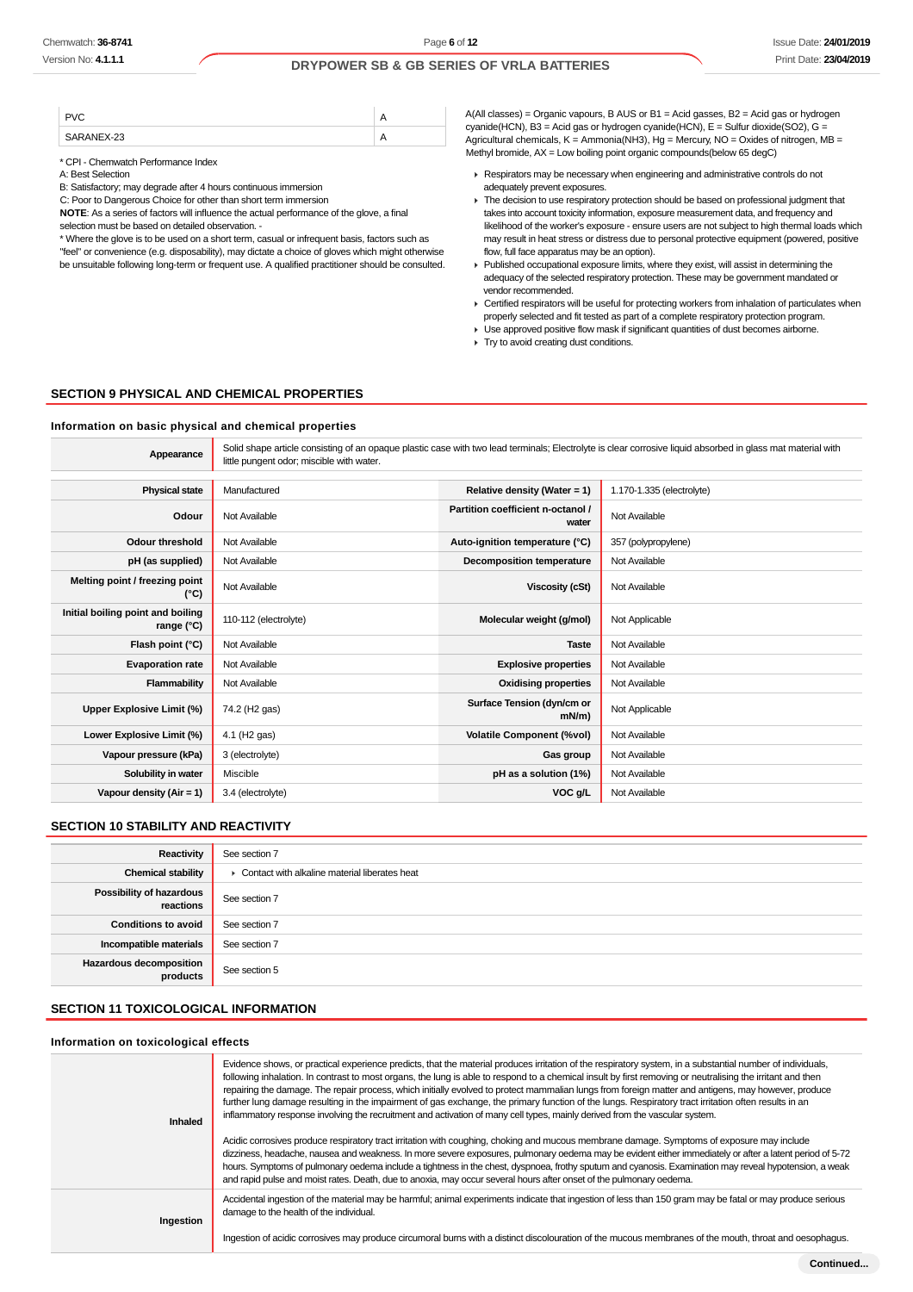| $-23$ | $\cdot$ $\cdot$ |
|-------|-----------------|

\* CPI - Chemwatch Performance Index

A: Best Selection

B: Satisfactory; may degrade after 4 hours continuous immersion

C: Poor to Dangerous Choice for other than short term immersion

**NOTE**: As a series of factors will influence the actual performance of the glove, a final selection must be based on detailed observation. -

\* Where the glove is to be used on a short term, casual or infrequent basis, factors such as "feel" or convenience (e.g. disposability), may dictate a choice of gloves which might otherwise be unsuitable following long-term or frequent use. A qualified practitioner should be consulted. A(All classes) = Organic vapours, B AUS or B1 = Acid gasses, B2 = Acid gas or hydrogen cyanide(HCN), B3 = Acid gas or hydrogen cyanide(HCN), E = Sulfur dioxide(SO2), G = Agricultural chemicals,  $K =$  Ammonia(NH3),  $Hg =$  Mercury, NO = Oxides of nitrogen, MB = Methyl bromide, AX = Low boiling point organic compounds(below 65 degC)

- **Respirators may be necessary when engineering and administrative controls do not** adequately prevent exposures.
- ▶ The decision to use respiratory protection should be based on professional judgment that takes into account toxicity information, exposure measurement data, and frequency and likelihood of the worker's exposure - ensure users are not subject to high thermal loads which may result in heat stress or distress due to personal protective equipment (powered, positive flow, full face apparatus may be an option).
- $\blacktriangleright$  Published occupational exposure limits, where they exist, will assist in determining the adequacy of the selected respiratory protection. These may be government mandated or vendor recommended.
- ▶ Certified respirators will be useful for protecting workers from inhalation of particulates when properly selected and fit tested as part of a complete respiratory protection program.
- Use approved positive flow mask if significant quantities of dust becomes airborne.
- **Try to avoid creating dust conditions.**

## **SECTION 9 PHYSICAL AND CHEMICAL PROPERTIES**

**Information on basic physical and chemical properties**

| Solid shape article consisting of an opaque plastic case with two lead terminals; Electrolyte is clear corrosive liquid absorbed in glass mat material with<br>Appearance<br>little pungent odor; miscible with water. |                           |                                            |                           |
|------------------------------------------------------------------------------------------------------------------------------------------------------------------------------------------------------------------------|---------------------------|--------------------------------------------|---------------------------|
| <b>Physical state</b>                                                                                                                                                                                                  | Manufactured              | Relative density (Water = 1)               | 1.170-1.335 (electrolyte) |
| Odour                                                                                                                                                                                                                  | Not Available             | Partition coefficient n-octanol /<br>water | Not Available             |
| <b>Odour threshold</b>                                                                                                                                                                                                 | Not Available             | Auto-ignition temperature (°C)             | 357 (polypropylene)       |
| pH (as supplied)                                                                                                                                                                                                       | Not Available             | <b>Decomposition temperature</b>           | Not Available             |
| Melting point / freezing point<br>$(^{\circ}C)$                                                                                                                                                                        | Not Available             | Viscosity (cSt)                            | Not Available             |
| Initial boiling point and boiling<br>range (°C)                                                                                                                                                                        | 110-112 (electrolyte)     | Molecular weight (g/mol)                   | Not Applicable            |
| Flash point (°C)                                                                                                                                                                                                       | Not Available             | <b>Taste</b>                               | Not Available             |
| <b>Evaporation rate</b>                                                                                                                                                                                                | Not Available             | <b>Explosive properties</b>                | Not Available             |
| Flammability                                                                                                                                                                                                           | Not Available             | <b>Oxidising properties</b>                | Not Available             |
| Upper Explosive Limit (%)                                                                                                                                                                                              | 74.2 (H <sub>2</sub> gas) | Surface Tension (dyn/cm or<br>$mN/m$ )     | Not Applicable            |
| Lower Explosive Limit (%)                                                                                                                                                                                              | 4.1 (H <sub>2</sub> gas)  | <b>Volatile Component (%vol)</b>           | Not Available             |
| Vapour pressure (kPa)                                                                                                                                                                                                  | 3 (electrolyte)           | Gas group                                  | Not Available             |
| Solubility in water                                                                                                                                                                                                    | Miscible                  | pH as a solution (1%)                      | Not Available             |
| Vapour density $(Air = 1)$                                                                                                                                                                                             | 3.4 (electrolyte)         | VOC g/L                                    | Not Available             |

### **SECTION 10 STABILITY AND REACTIVITY**

| Reactivity                                 | See section 7                                   |
|--------------------------------------------|-------------------------------------------------|
| <b>Chemical stability</b>                  | • Contact with alkaline material liberates heat |
| Possibility of hazardous<br>reactions      | See section 7                                   |
| <b>Conditions to avoid</b>                 | See section 7                                   |
| Incompatible materials                     | See section 7                                   |
| <b>Hazardous decomposition</b><br>products | See section 5                                   |

### **SECTION 11 TOXICOLOGICAL INFORMATION**

#### **Information on toxicological effects**

| Evidence shows, or practical experience predicts, that the material produces irritation of the respiratory system, in a substantial number of individuals,<br>following inhalation. In contrast to most organs, the lung is able to respond to a chemical insult by first removing or neutralising the irritant and then<br>repairing the damage. The repair process, which initially evolved to protect mammalian lungs from foreign matter and antigens, may however, produce                                                                                                        |
|----------------------------------------------------------------------------------------------------------------------------------------------------------------------------------------------------------------------------------------------------------------------------------------------------------------------------------------------------------------------------------------------------------------------------------------------------------------------------------------------------------------------------------------------------------------------------------------|
| further lung damage resulting in the impairment of gas exchange, the primary function of the lungs. Respiratory tract irritation often results in an<br>inflammatory response involving the recruitment and activation of many cell types, mainly derived from the vascular system.<br>Inhaled                                                                                                                                                                                                                                                                                         |
| Acidic corrosives produce respiratory tract irritation with coughing, choking and mucous membrane damage. Symptoms of exposure may include<br>dizziness, headache, nausea and weakness. In more severe exposures, pulmonary oedema may be evident either immediately or after a latent period of 5-72<br>hours. Symptoms of pulmonary oedema include a tightness in the chest, dyspnoea, frothy sputum and cyanosis. Examination may reveal hypotension, a weak<br>and rapid pulse and moist rates. Death, due to anoxia, may occur several hours after onset of the pulmonary oedema. |
| Accidental ingestion of the material may be harmful; animal experiments indicate that ingestion of less than 150 gram may be fatal or may produce serious<br>damage to the health of the individual.<br>Ingestion                                                                                                                                                                                                                                                                                                                                                                      |
| Ingestion of acidic corrosives may produce circumoral burns with a distinct discolouration of the mucous membranes of the mouth, throat and oesophagus.                                                                                                                                                                                                                                                                                                                                                                                                                                |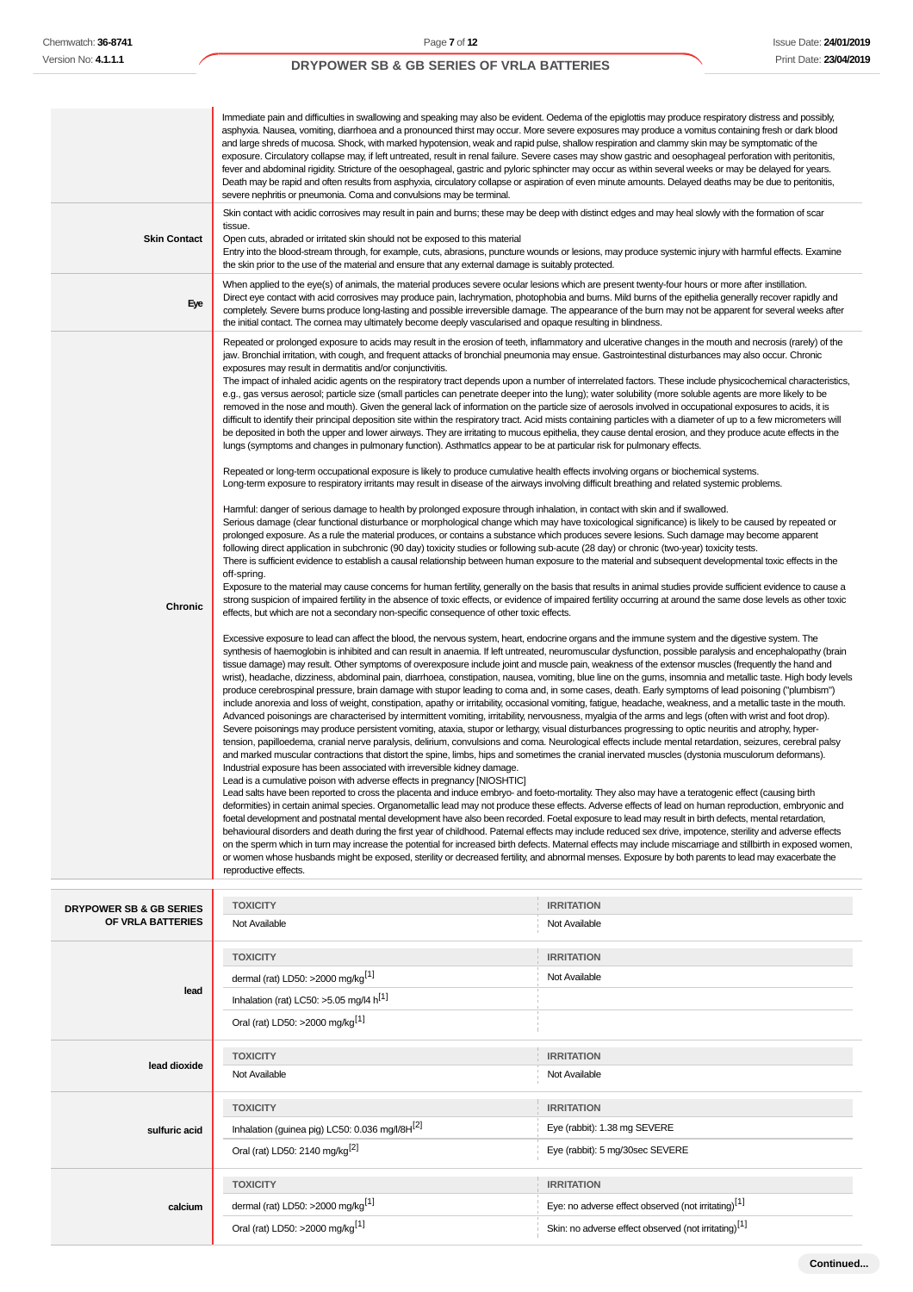| <b>Skin Contact</b><br>Eye                   | Immediate pain and difficulties in swallowing and speaking may also be evident. Oedema of the epiglottis may produce respiratory distress and possibly,<br>asphyxia. Nausea, vomiting, diarrhoea and a pronounced thirst may occur. More severe exposures may produce a vomitus containing fresh or dark blood<br>and large shreds of mucosa. Shock, with marked hypotension, weak and rapid pulse, shallow respiration and clammy skin may be symptomatic of the<br>exposure. Circulatory collapse may, if left untreated, result in renal failure. Severe cases may show gastric and oesophageal perforation with peritonitis,<br>fever and abdominal rigidity. Stricture of the oesophageal, gastric and pyloric sphincter may occur as within several weeks or may be delayed for years.<br>Death may be rapid and often results from asphyxia, circulatory collapse or aspiration of even minute amounts. Delayed deaths may be due to peritonitis,<br>severe nephritis or pneumonia. Coma and convulsions may be terminal.<br>Skin contact with acidic corrosives may result in pain and burns; these may be deep with distinct edges and may heal slowly with the formation of scar<br>tissue.<br>Open cuts, abraded or irritated skin should not be exposed to this material<br>Entry into the blood-stream through, for example, cuts, abrasions, puncture wounds or lesions, may produce systemic injury with harmful effects. Examine<br>the skin prior to the use of the material and ensure that any external damage is suitably protected.<br>When applied to the eye(s) of animals, the material produces severe ocular lesions which are present twenty-four hours or more after instillation.<br>Direct eye contact with acid corrosives may produce pain, lachrymation, photophobia and burns. Mild burns of the epithelia generally recover rapidly and<br>completely. Severe burns produce long-lasting and possible irreversible damage. The appearance of the burn may not be apparent for several weeks after<br>the initial contact. The cornea may ultimately become deeply vascularised and opaque resulting in blindness.<br>Repeated or prolonged exposure to acids may result in the erosion of teeth, inflammatory and ulcerative changes in the mouth and necrosis (rarely) of the<br>jaw. Bronchial irritation, with cough, and frequent attacks of bronchial pneumonia may ensue. Gastrointestinal disturbances may also occur. Chronic<br>exposures may result in dermatitis and/or conjunctivitis.<br>The impact of inhaled acidic agents on the respiratory tract depends upon a number of interrelated factors. These include physicochemical characteristics,<br>e.g., gas versus aerosol; particle size (small particles can penetrate deeper into the lung); water solubility (more soluble agents are more likely to be<br>removed in the nose and mouth). Given the general lack of information on the particle size of aerosols involved in occupational exposures to acids, it is<br>difficult to identify their principal deposition site within the respiratory tract. Acid mists containing particles with a diameter of up to a few micrometers will<br>be deposited in both the upper and lower airways. They are irritating to mucous epithelia, they cause dental erosion, and they produce acute effects in the<br>lungs (symptoms and changes in pulmonary function). Asthmatics appear to be at particular risk for pulmonary effects.<br>Repeated or long-term occupational exposure is likely to produce cumulative health effects involving organs or biochemical systems.<br>Long-term exposure to respiratory irritants may result in disease of the airways involving difficult breathing and related systemic problems.                                                                                                                                             |                                                                                                                                                          |  |
|----------------------------------------------|----------------------------------------------------------------------------------------------------------------------------------------------------------------------------------------------------------------------------------------------------------------------------------------------------------------------------------------------------------------------------------------------------------------------------------------------------------------------------------------------------------------------------------------------------------------------------------------------------------------------------------------------------------------------------------------------------------------------------------------------------------------------------------------------------------------------------------------------------------------------------------------------------------------------------------------------------------------------------------------------------------------------------------------------------------------------------------------------------------------------------------------------------------------------------------------------------------------------------------------------------------------------------------------------------------------------------------------------------------------------------------------------------------------------------------------------------------------------------------------------------------------------------------------------------------------------------------------------------------------------------------------------------------------------------------------------------------------------------------------------------------------------------------------------------------------------------------------------------------------------------------------------------------------------------------------------------------------------------------------------------------------------------------------------------------------------------------------------------------------------------------------------------------------------------------------------------------------------------------------------------------------------------------------------------------------------------------------------------------------------------------------------------------------------------------------------------------------------------------------------------------------------------------------------------------------------------------------------------------------------------------------------------------------------------------------------------------------------------------------------------------------------------------------------------------------------------------------------------------------------------------------------------------------------------------------------------------------------------------------------------------------------------------------------------------------------------------------------------------------------------------------------------------------------------------------------------------------------------------------------------------------------------------------------------------------------------------------------------------------------------------------------------------------------------------------------------------------------------------------------------------------------------------------------------------------------------------------------------------------------------------------------------------------------------------------------------------------------------------------------------------------------------------------------------------------------------------------------------------------------------------------------------------------------------------|----------------------------------------------------------------------------------------------------------------------------------------------------------|--|
| Chronic                                      | Harmful: danger of serious damage to health by prolonged exposure through inhalation, in contact with skin and if swallowed.<br>Serious damage (clear functional disturbance or morphological change which may have toxicological significance) is likely to be caused by repeated or<br>prolonged exposure. As a rule the material produces, or contains a substance which produces severe lesions. Such damage may become apparent<br>following direct application in subchronic (90 day) toxicity studies or following sub-acute (28 day) or chronic (two-year) toxicity tests.<br>There is sufficient evidence to establish a causal relationship between human exposure to the material and subsequent developmental toxic effects in the<br>off-spring.<br>Exposure to the material may cause concerns for human fertility, generally on the basis that results in animal studies provide sufficient evidence to cause a<br>strong suspicion of impaired fertility in the absence of toxic effects, or evidence of impaired fertility occurring at around the same dose levels as other toxic<br>effects, but which are not a secondary non-specific consequence of other toxic effects.<br>Excessive exposure to lead can affect the blood, the nervous system, heart, endocrine organs and the immune system and the digestive system. The<br>synthesis of haemoglobin is inhibited and can result in anaemia. If left untreated, neuromuscular dysfunction, possible paralysis and encephalopathy (brain<br>tissue damage) may result. Other symptoms of overexposure include joint and muscle pain, weakness of the extensor muscles (frequently the hand and<br>wrist), headache, dizziness, abdominal pain, diarrhoea, constipation, nausea, vomiting, blue line on the gums, insomnia and metallic taste. High body levels<br>produce cerebrospinal pressure, brain damage with stupor leading to coma and, in some cases, death. Early symptoms of lead poisoning ("plumbism")<br>include anorexia and loss of weight, constipation, apathy or irritability, occasional vomiting, fatigue, headache, weakness, and a metallic taste in the mouth.<br>Advanced poisonings are characterised by intermittent vomiting, irritability, nervousness, myalgia of the arms and legs (often with wrist and foot drop).<br>Severe poisonings may produce persistent vomiting, ataxia, stupor or lethargy, visual disturbances progressing to optic neuritis and atrophy, hyper-<br>tension, papilloedema, cranial nerve paralysis, delirium, convulsions and coma. Neurological effects include mental retardation, seizures, cerebral palsy<br>and marked muscular contractions that distort the spine, limbs, hips and sometimes the cranial inervated muscles (dystonia musculorum deformans).<br>Industrial exposure has been associated with irreversible kidney damage.<br>Lead is a cumulative poison with adverse effects in pregnancy [NIOSHTIC]<br>Lead salts have been reported to cross the placenta and induce embryo- and foeto-mortality. They also may have a teratogenic effect (causing birth<br>deformities) in certain animal species. Organometallic lead may not produce these effects. Adverse effects of lead on human reproduction, embryonic and<br>foetal development and postnatal mental development have also been recorded. Foetal exposure to lead may result in birth defects, mental retardation,<br>behavioural disorders and death during the first year of childhood. Paternal effects may include reduced sex drive, impotence, sterility and adverse effects<br>on the sperm which in turn may increase the potential for increased birth defects. Maternal effects may include miscarriage and stillbirth in exposed women,<br>or women whose husbands might be exposed, sterility or decreased fertility, and abnormal menses. Exposure by both parents to lead may exacerbate the |                                                                                                                                                          |  |
|                                              | <b>TOXICITY</b>                                                                                                                                                                                                                                                                                                                                                                                                                                                                                                                                                                                                                                                                                                                                                                                                                                                                                                                                                                                                                                                                                                                                                                                                                                                                                                                                                                                                                                                                                                                                                                                                                                                                                                                                                                                                                                                                                                                                                                                                                                                                                                                                                                                                                                                                                                                                                                                                                                                                                                                                                                                                                                                                                                                                                                                                                                                                                                                                                                                                                                                                                                                                                                                                                                                                                                                                                                                                                                                                                                                                                                                                                                                                                                                                                                                                                                                                                                                  | <b>IRRITATION</b>                                                                                                                                        |  |
| DRYPOWER SB & GB SERIES<br>OF VRLA BATTERIES | Not Available                                                                                                                                                                                                                                                                                                                                                                                                                                                                                                                                                                                                                                                                                                                                                                                                                                                                                                                                                                                                                                                                                                                                                                                                                                                                                                                                                                                                                                                                                                                                                                                                                                                                                                                                                                                                                                                                                                                                                                                                                                                                                                                                                                                                                                                                                                                                                                                                                                                                                                                                                                                                                                                                                                                                                                                                                                                                                                                                                                                                                                                                                                                                                                                                                                                                                                                                                                                                                                                                                                                                                                                                                                                                                                                                                                                                                                                                                                                    | Not Available                                                                                                                                            |  |
| lead                                         | <b>TOXICITY</b><br>dermal (rat) LD50: >2000 mg/kg <sup>[1]</sup><br>Inhalation (rat) LC50: >5.05 mg/l4 $h^{[1]}$<br>Oral (rat) LD50: >2000 mg/kg <sup>[1]</sup>                                                                                                                                                                                                                                                                                                                                                                                                                                                                                                                                                                                                                                                                                                                                                                                                                                                                                                                                                                                                                                                                                                                                                                                                                                                                                                                                                                                                                                                                                                                                                                                                                                                                                                                                                                                                                                                                                                                                                                                                                                                                                                                                                                                                                                                                                                                                                                                                                                                                                                                                                                                                                                                                                                                                                                                                                                                                                                                                                                                                                                                                                                                                                                                                                                                                                                                                                                                                                                                                                                                                                                                                                                                                                                                                                                  | <b>IRRITATION</b><br>Not Available                                                                                                                       |  |
| lead dioxide                                 | <b>TOXICITY</b><br>Not Available                                                                                                                                                                                                                                                                                                                                                                                                                                                                                                                                                                                                                                                                                                                                                                                                                                                                                                                                                                                                                                                                                                                                                                                                                                                                                                                                                                                                                                                                                                                                                                                                                                                                                                                                                                                                                                                                                                                                                                                                                                                                                                                                                                                                                                                                                                                                                                                                                                                                                                                                                                                                                                                                                                                                                                                                                                                                                                                                                                                                                                                                                                                                                                                                                                                                                                                                                                                                                                                                                                                                                                                                                                                                                                                                                                                                                                                                                                 | <b>IRRITATION</b><br>Not Available                                                                                                                       |  |
| sulfuric acid                                | <b>TOXICITY</b><br>Inhalation (guinea pig) LC50: 0.036 mg/l/8H[2]<br>Oral (rat) LD50: 2140 mg/kg <sup>[2]</sup>                                                                                                                                                                                                                                                                                                                                                                                                                                                                                                                                                                                                                                                                                                                                                                                                                                                                                                                                                                                                                                                                                                                                                                                                                                                                                                                                                                                                                                                                                                                                                                                                                                                                                                                                                                                                                                                                                                                                                                                                                                                                                                                                                                                                                                                                                                                                                                                                                                                                                                                                                                                                                                                                                                                                                                                                                                                                                                                                                                                                                                                                                                                                                                                                                                                                                                                                                                                                                                                                                                                                                                                                                                                                                                                                                                                                                  | <b>IRRITATION</b><br>Eye (rabbit): 1.38 mg SEVERE<br>Eye (rabbit): 5 mg/30sec SEVERE                                                                     |  |
| calcium                                      | <b>TOXICITY</b><br>dermal (rat) LD50: >2000 mg/kg <sup>[1]</sup><br>Oral (rat) LD50: >2000 mg/kg <sup>[1]</sup>                                                                                                                                                                                                                                                                                                                                                                                                                                                                                                                                                                                                                                                                                                                                                                                                                                                                                                                                                                                                                                                                                                                                                                                                                                                                                                                                                                                                                                                                                                                                                                                                                                                                                                                                                                                                                                                                                                                                                                                                                                                                                                                                                                                                                                                                                                                                                                                                                                                                                                                                                                                                                                                                                                                                                                                                                                                                                                                                                                                                                                                                                                                                                                                                                                                                                                                                                                                                                                                                                                                                                                                                                                                                                                                                                                                                                  | <b>IRRITATION</b><br>Eye: no adverse effect observed (not irritating) <sup>[1]</sup><br>Skin: no adverse effect observed (not irritating) <sup>[1]</sup> |  |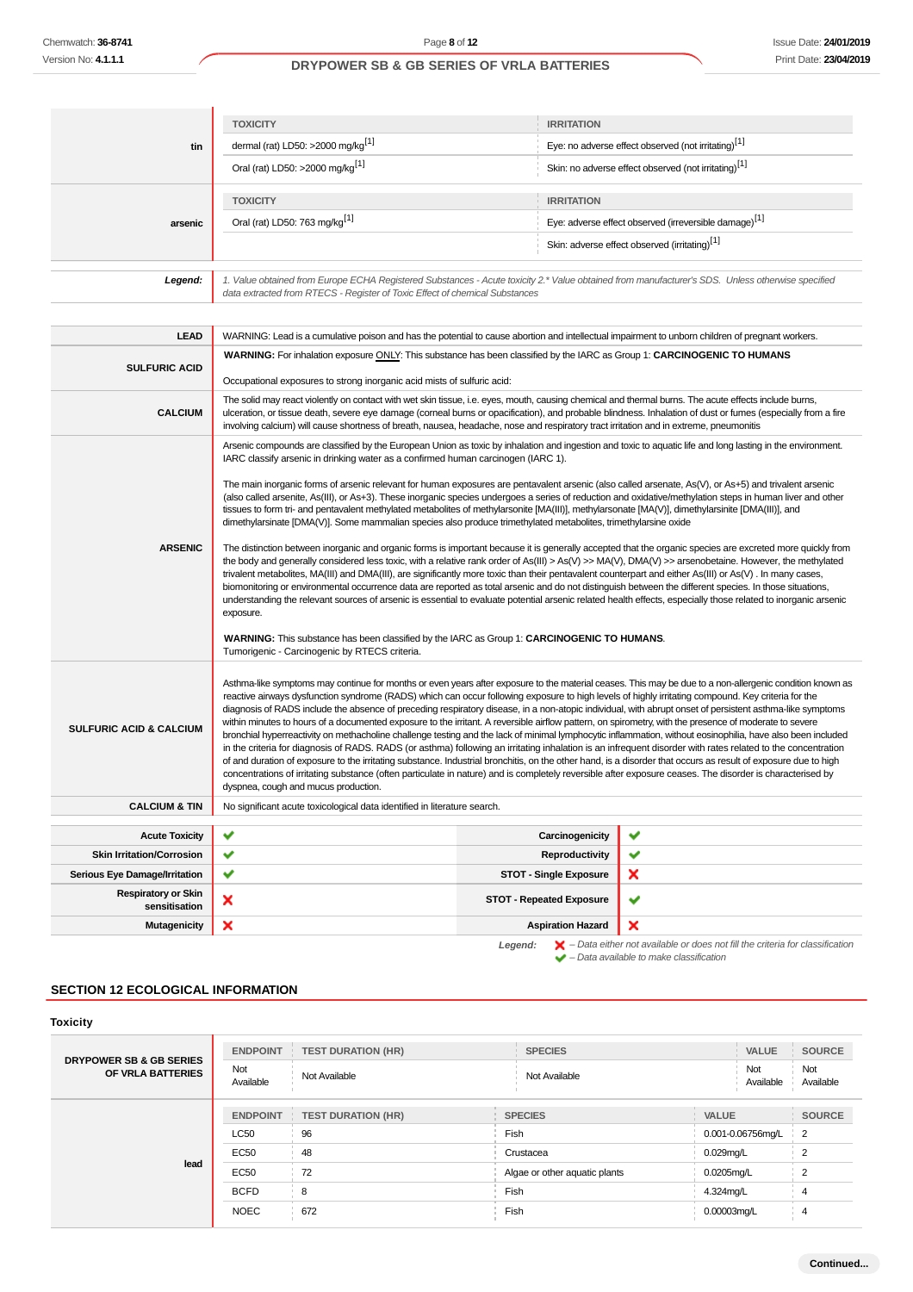| tin                                              | <b>TOXICITY</b><br>dermal (rat) LD50: >2000 mg/kg <sup>[1]</sup><br>Oral (rat) LD50: >2000 mg/kg <sup>[1]</sup>                                                                                                                                                                                                                                                                                                                                                                                                                                                                                                                                                                                                                                                                                                                                                                                                                                                                                                                                                                                                                                                                                                                                                                                                                                                                                                                                                                                                                                                                                                                                                                                                                                                                                                                                                                                                                                                                                        | <b>IRRITATION</b>               | Eye: no adverse effect observed (not irritating) <sup>[1]</sup>   |
|--------------------------------------------------|--------------------------------------------------------------------------------------------------------------------------------------------------------------------------------------------------------------------------------------------------------------------------------------------------------------------------------------------------------------------------------------------------------------------------------------------------------------------------------------------------------------------------------------------------------------------------------------------------------------------------------------------------------------------------------------------------------------------------------------------------------------------------------------------------------------------------------------------------------------------------------------------------------------------------------------------------------------------------------------------------------------------------------------------------------------------------------------------------------------------------------------------------------------------------------------------------------------------------------------------------------------------------------------------------------------------------------------------------------------------------------------------------------------------------------------------------------------------------------------------------------------------------------------------------------------------------------------------------------------------------------------------------------------------------------------------------------------------------------------------------------------------------------------------------------------------------------------------------------------------------------------------------------------------------------------------------------------------------------------------------------|---------------------------------|-------------------------------------------------------------------|
|                                                  |                                                                                                                                                                                                                                                                                                                                                                                                                                                                                                                                                                                                                                                                                                                                                                                                                                                                                                                                                                                                                                                                                                                                                                                                                                                                                                                                                                                                                                                                                                                                                                                                                                                                                                                                                                                                                                                                                                                                                                                                        |                                 |                                                                   |
|                                                  |                                                                                                                                                                                                                                                                                                                                                                                                                                                                                                                                                                                                                                                                                                                                                                                                                                                                                                                                                                                                                                                                                                                                                                                                                                                                                                                                                                                                                                                                                                                                                                                                                                                                                                                                                                                                                                                                                                                                                                                                        |                                 | Skin: no adverse effect observed (not irritating) <sup>[1]</sup>  |
|                                                  | <b>TOXICITY</b>                                                                                                                                                                                                                                                                                                                                                                                                                                                                                                                                                                                                                                                                                                                                                                                                                                                                                                                                                                                                                                                                                                                                                                                                                                                                                                                                                                                                                                                                                                                                                                                                                                                                                                                                                                                                                                                                                                                                                                                        | <b>IRRITATION</b>               |                                                                   |
| arsenic                                          | Oral (rat) LD50: 763 mg/kg <sup>[1]</sup>                                                                                                                                                                                                                                                                                                                                                                                                                                                                                                                                                                                                                                                                                                                                                                                                                                                                                                                                                                                                                                                                                                                                                                                                                                                                                                                                                                                                                                                                                                                                                                                                                                                                                                                                                                                                                                                                                                                                                              |                                 | Eye: adverse effect observed (irreversible damage) <sup>[1]</sup> |
|                                                  |                                                                                                                                                                                                                                                                                                                                                                                                                                                                                                                                                                                                                                                                                                                                                                                                                                                                                                                                                                                                                                                                                                                                                                                                                                                                                                                                                                                                                                                                                                                                                                                                                                                                                                                                                                                                                                                                                                                                                                                                        |                                 | Skin: adverse effect observed (irritating) <sup>[1]</sup>         |
| Legend:                                          | 1. Value obtained from Europe ECHA Registered Substances - Acute toxicity 2.* Value obtained from manufacturer's SDS. Unless otherwise specified<br>data extracted from RTECS - Register of Toxic Effect of chemical Substances                                                                                                                                                                                                                                                                                                                                                                                                                                                                                                                                                                                                                                                                                                                                                                                                                                                                                                                                                                                                                                                                                                                                                                                                                                                                                                                                                                                                                                                                                                                                                                                                                                                                                                                                                                        |                                 |                                                                   |
|                                                  |                                                                                                                                                                                                                                                                                                                                                                                                                                                                                                                                                                                                                                                                                                                                                                                                                                                                                                                                                                                                                                                                                                                                                                                                                                                                                                                                                                                                                                                                                                                                                                                                                                                                                                                                                                                                                                                                                                                                                                                                        |                                 |                                                                   |
| <b>LEAD</b>                                      | WARNING: Lead is a cumulative poison and has the potential to cause abortion and intellectual impairment to unborn children of pregnant workers.<br>WARNING: For inhalation exposure ONLY: This substance has been classified by the IARC as Group 1: CARCINOGENIC TO HUMANS                                                                                                                                                                                                                                                                                                                                                                                                                                                                                                                                                                                                                                                                                                                                                                                                                                                                                                                                                                                                                                                                                                                                                                                                                                                                                                                                                                                                                                                                                                                                                                                                                                                                                                                           |                                 |                                                                   |
| <b>SULFURIC ACID</b>                             | Occupational exposures to strong inorganic acid mists of sulfuric acid:                                                                                                                                                                                                                                                                                                                                                                                                                                                                                                                                                                                                                                                                                                                                                                                                                                                                                                                                                                                                                                                                                                                                                                                                                                                                                                                                                                                                                                                                                                                                                                                                                                                                                                                                                                                                                                                                                                                                |                                 |                                                                   |
| <b>CALCIUM</b>                                   | The solid may react violently on contact with wet skin tissue, i.e. eyes, mouth, causing chemical and thermal burns. The acute effects include burns,<br>ulceration, or tissue death, severe eye damage (corneal burns or opacification), and probable blindness. Inhalation of dust or fumes (especially from a fire<br>involving calcium) will cause shortness of breath, nausea, headache, nose and respiratory tract irritation and in extreme, pneumonitis                                                                                                                                                                                                                                                                                                                                                                                                                                                                                                                                                                                                                                                                                                                                                                                                                                                                                                                                                                                                                                                                                                                                                                                                                                                                                                                                                                                                                                                                                                                                        |                                 |                                                                   |
| <b>ARSENIC</b>                                   | Arsenic compounds are classified by the European Union as toxic by inhalation and ingestion and toxic to aquatic life and long lasting in the environment.<br>IARC classify arsenic in drinking water as a confirmed human carcinogen (IARC 1).<br>The main inorganic forms of arsenic relevant for human exposures are pentavalent arsenic (also called arsenate, As(V), or As+5) and trivalent arsenic<br>(also called arsenite, As(III), or As+3). These inorganic species undergoes a series of reduction and oxidative/methylation steps in human liver and other<br>tissues to form tri- and pentavalent methylated metabolites of methylarsonite [MA(III)], methylarsonate [MA(V)], dimethylarsinite [DMA(III)], and<br>dimethylarsinate [DMA(V)]. Some mammalian species also produce trimethylated metabolites, trimethylarsine oxide<br>The distinction between inorganic and organic forms is important because it is generally accepted that the organic species are excreted more quickly from<br>the body and generally considered less toxic, with a relative rank order of As(III) > As(V) >> MA(V), DMA(V) >> arsenobetaine. However, the methylated<br>trivalent metabolites, MA(III) and DMA(III), are significantly more toxic than their pentavalent counterpart and either As(III) or As(V). In many cases,<br>biomonitoring or environmental occurrence data are reported as total arsenic and do not distinguish between the different species. In those situations,<br>understanding the relevant sources of arsenic is essential to evaluate potential arsenic related health effects, especially those related to inorganic arsenic<br>exposure.<br><b>WARNING:</b> This substance has been classified by the IARC as Group 1: <b>CARCINOGENIC TO HUMANS</b> .<br>Tumorigenic - Carcinogenic by RTECS criteria.<br>Asthma-like symptoms may continue for months or even years after exposure to the material ceases. This may be due to a non-allergenic condition known as |                                 |                                                                   |
| <b>SULFURIC ACID &amp; CALCIUM</b>               | reactive airways dysfunction syndrome (RADS) which can occur following exposure to high levels of highly irritating compound. Key criteria for the<br>diagnosis of RADS include the absence of preceding respiratory disease, in a non-atopic individual, with abrupt onset of persistent asthma-like symptoms<br>within minutes to hours of a documented exposure to the irritant. A reversible airflow pattern, on spirometry, with the presence of moderate to severe<br>bronchial hyperreactivity on methacholine challenge testing and the lack of minimal lymphocytic inflammation, without eosinophilia, have also been included<br>in the criteria for diagnosis of RADS. RADS (or asthma) following an irritating inhalation is an infrequent disorder with rates related to the concentration<br>of and duration of exposure to the irritating substance. Industrial bronchitis, on the other hand, is a disorder that occurs as result of exposure due to high<br>concentrations of irritating substance (often particulate in nature) and is completely reversible after exposure ceases. The disorder is characterised by<br>dyspnea, cough and mucus production.                                                                                                                                                                                                                                                                                                                                                                                                                                                                                                                                                                                                                                                                                                                                                                                                                         |                                 |                                                                   |
| <b>CALCIUM &amp; TIN</b>                         | No significant acute toxicological data identified in literature search.                                                                                                                                                                                                                                                                                                                                                                                                                                                                                                                                                                                                                                                                                                                                                                                                                                                                                                                                                                                                                                                                                                                                                                                                                                                                                                                                                                                                                                                                                                                                                                                                                                                                                                                                                                                                                                                                                                                               |                                 |                                                                   |
| <b>Acute Toxicity</b>                            | ✔                                                                                                                                                                                                                                                                                                                                                                                                                                                                                                                                                                                                                                                                                                                                                                                                                                                                                                                                                                                                                                                                                                                                                                                                                                                                                                                                                                                                                                                                                                                                                                                                                                                                                                                                                                                                                                                                                                                                                                                                      | Carcinogenicity                 | ✔                                                                 |
| <b>Skin Irritation/Corrosion</b>                 | ✔                                                                                                                                                                                                                                                                                                                                                                                                                                                                                                                                                                                                                                                                                                                                                                                                                                                                                                                                                                                                                                                                                                                                                                                                                                                                                                                                                                                                                                                                                                                                                                                                                                                                                                                                                                                                                                                                                                                                                                                                      | Reproductivity                  | ✔                                                                 |
| Serious Eye Damage/Irritation                    | ✔                                                                                                                                                                                                                                                                                                                                                                                                                                                                                                                                                                                                                                                                                                                                                                                                                                                                                                                                                                                                                                                                                                                                                                                                                                                                                                                                                                                                                                                                                                                                                                                                                                                                                                                                                                                                                                                                                                                                                                                                      | <b>STOT - Single Exposure</b>   | ×                                                                 |
| <b>Respiratory or Skin</b><br>×<br>sensitisation |                                                                                                                                                                                                                                                                                                                                                                                                                                                                                                                                                                                                                                                                                                                                                                                                                                                                                                                                                                                                                                                                                                                                                                                                                                                                                                                                                                                                                                                                                                                                                                                                                                                                                                                                                                                                                                                                                                                                                                                                        | <b>STOT - Repeated Exposure</b> | ✔                                                                 |
| <b>Mutagenicity</b>                              | ×                                                                                                                                                                                                                                                                                                                                                                                                                                                                                                                                                                                                                                                                                                                                                                                                                                                                                                                                                                                                                                                                                                                                                                                                                                                                                                                                                                                                                                                                                                                                                                                                                                                                                                                                                                                                                                                                                                                                                                                                      | <b>Aspiration Hazard</b>        | ×                                                                 |

# **SECTION 12 ECOLOGICAL INFORMATION**

| <b>Toxicity</b>                                         |                  |                           |                               |                  |                   |                  |
|---------------------------------------------------------|------------------|---------------------------|-------------------------------|------------------|-------------------|------------------|
| <b>DRYPOWER SB &amp; GB SERIES</b><br>OF VRLA BATTERIES | <b>ENDPOINT</b>  | <b>TEST DURATION (HR)</b> | <b>SPECIES</b>                |                  | <b>VALUE</b>      | <b>SOURCE</b>    |
|                                                         | Not<br>Available | Not Available             | Not Available                 | Not<br>Available |                   | Not<br>Available |
|                                                         | <b>ENDPOINT</b>  | <b>TEST DURATION (HR)</b> | <b>SPECIES</b>                | <b>VALUE</b>     |                   | <b>SOURCE</b>    |
|                                                         | <b>LC50</b>      | 96                        | Fish                          |                  | 0.001-0.06756mg/L | $\overline{2}$   |
|                                                         | <b>EC50</b>      | 48                        | Crustacea                     | $0.029$ mg/L     |                   | 2                |
| lead                                                    | EC50             | 72                        | Algae or other aquatic plants | 0.0205mg/L       |                   | $\overline{2}$   |
|                                                         | <b>BCFD</b>      | 8                         | Fish                          | 4.324mg/L        |                   | 4                |
|                                                         | <b>NOEC</b>      | 672                       | Fish                          | 0.00003mg/L      |                   | $\overline{4}$   |
|                                                         |                  |                           |                               |                  |                   |                  |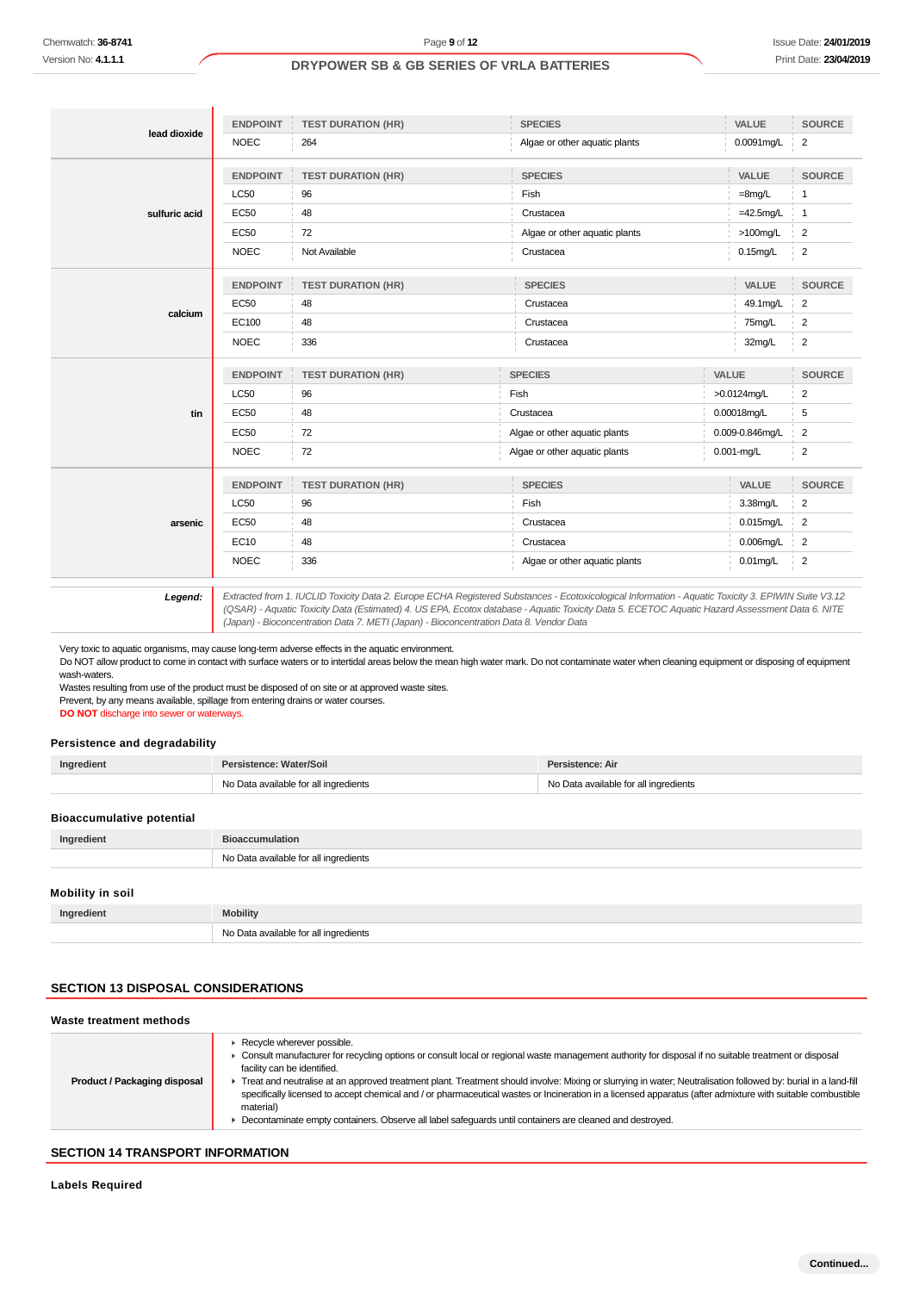| Version No: 4.1.1.1<br>lead dioxide<br><b>LC50</b><br><b>EC50</b><br>sulfuric acid<br><b>EC50</b>                                                                                                                                                 | <b>ENDPOINT</b><br><b>NOEC</b> | DRYPOWER SB & GB SERIES OF VRLA BATTERIES |                |                                       |       |                 | Print Date: 23/04/20    |
|---------------------------------------------------------------------------------------------------------------------------------------------------------------------------------------------------------------------------------------------------|--------------------------------|-------------------------------------------|----------------|---------------------------------------|-------|-----------------|-------------------------|
|                                                                                                                                                                                                                                                   |                                |                                           |                |                                       |       |                 |                         |
|                                                                                                                                                                                                                                                   |                                |                                           |                |                                       |       |                 |                         |
|                                                                                                                                                                                                                                                   |                                |                                           |                |                                       |       |                 |                         |
|                                                                                                                                                                                                                                                   |                                | <b>TEST DURATION (HR)</b>                 |                | <b>SPECIES</b>                        |       | VALUE           | <b>SOURCE</b>           |
|                                                                                                                                                                                                                                                   |                                | 264                                       |                | Algae or other aquatic plants         |       | 0.0091mg/L      | $\overline{c}$          |
|                                                                                                                                                                                                                                                   |                                |                                           |                |                                       |       |                 |                         |
|                                                                                                                                                                                                                                                   | <b>ENDPOINT</b>                | <b>TEST DURATION (HR)</b>                 |                | <b>SPECIES</b>                        |       | VALUE           | <b>SOURCE</b>           |
|                                                                                                                                                                                                                                                   |                                | 96                                        | Fish           |                                       |       | $=8$ mg/L       | $\mathbf{1}$            |
|                                                                                                                                                                                                                                                   |                                | 48                                        |                | Crustacea                             |       | $=42.5$ mg/L    | $\mathbf{1}$            |
|                                                                                                                                                                                                                                                   |                                | 72                                        |                | Algae or other aquatic plants         |       | $>100$ mg/L     | 2                       |
|                                                                                                                                                                                                                                                   | <b>NOEC</b>                    | Not Available                             |                | Crustacea                             |       | $0.15$ mg/L     | $\overline{2}$          |
|                                                                                                                                                                                                                                                   | <b>ENDPOINT</b>                | <b>TEST DURATION (HR)</b>                 |                | <b>SPECIES</b>                        |       | VALUE           | <b>SOURCE</b>           |
| <b>EC50</b>                                                                                                                                                                                                                                       |                                | 48                                        |                | Crustacea                             |       | 49.1mg/L        | $\overline{2}$          |
| calcium                                                                                                                                                                                                                                           | EC100                          | 48                                        |                | Crustacea                             |       | 75mg/L          | $\overline{2}$          |
|                                                                                                                                                                                                                                                   | <b>NOEC</b>                    | 336                                       |                | Crustacea                             |       | 32mg/L          | 2                       |
|                                                                                                                                                                                                                                                   |                                |                                           |                |                                       |       |                 |                         |
|                                                                                                                                                                                                                                                   | <b>ENDPOINT</b>                | <b>TEST DURATION (HR)</b>                 | <b>SPECIES</b> |                                       | VALUE |                 | <b>SOURCE</b>           |
| <b>LC50</b>                                                                                                                                                                                                                                       |                                | 96                                        | Fish           |                                       |       | >0.0124mg/L     | $\overline{2}$          |
| <b>EC50</b><br>tin                                                                                                                                                                                                                                |                                | 48                                        | Crustacea      |                                       |       | 0.00018mg/L     | 5                       |
| <b>EC50</b>                                                                                                                                                                                                                                       |                                | 72                                        |                | Algae or other aquatic plants         |       | 0.009-0.846mg/L | $\overline{\mathbf{c}}$ |
|                                                                                                                                                                                                                                                   | <b>NOEC</b>                    | 72                                        |                | Algae or other aquatic plants         |       | 0.001-mg/L      | $\overline{2}$          |
|                                                                                                                                                                                                                                                   | <b>ENDPOINT</b>                | <b>TEST DURATION (HR)</b>                 |                | <b>SPECIES</b>                        |       | VALUE           | <b>SOURCE</b>           |
| LC50                                                                                                                                                                                                                                              |                                | 96                                        | Fish           |                                       |       | 3.38mg/L        | $\overline{2}$          |
| <b>EC50</b><br>arsenic                                                                                                                                                                                                                            |                                | 48                                        |                | Crustacea                             |       | 0.015mg/L       | $\overline{2}$          |
| EC10                                                                                                                                                                                                                                              |                                | 48                                        |                | Crustacea                             |       | $0.006$ mg/L    | $\overline{c}$          |
|                                                                                                                                                                                                                                                   |                                |                                           |                |                                       |       |                 | $\overline{2}$          |
|                                                                                                                                                                                                                                                   | <b>NOEC</b>                    | 336                                       |                | Algae or other aquatic plants         |       | $0.01$ mg/L     |                         |
| wash-waters.<br>Wastes resulting from use of the product must be disposed of on site or at approved waste sites.<br>Prevent, by any means available, spillage from entering drains or water courses.<br>DO NOT discharge into sewer or waterways. |                                |                                           |                |                                       |       |                 |                         |
|                                                                                                                                                                                                                                                   |                                |                                           |                |                                       |       |                 |                         |
| Persistence and degradability                                                                                                                                                                                                                     |                                |                                           |                |                                       |       |                 |                         |
|                                                                                                                                                                                                                                                   | Persistence: Water/Soil        |                                           |                | Persistence: Air                      |       |                 |                         |
|                                                                                                                                                                                                                                                   |                                | No Data available for all ingredients     |                | No Data available for all ingredients |       |                 |                         |
| Ingredient                                                                                                                                                                                                                                        |                                |                                           |                |                                       |       |                 |                         |
|                                                                                                                                                                                                                                                   | <b>Bioaccumulation</b>         |                                           |                |                                       |       |                 |                         |
|                                                                                                                                                                                                                                                   |                                | No Data available for all ingredients     |                |                                       |       |                 |                         |
| <b>Bioaccumulative potential</b><br>Ingredient                                                                                                                                                                                                    |                                |                                           |                |                                       |       |                 |                         |
| Mobility in soil                                                                                                                                                                                                                                  |                                |                                           |                |                                       |       |                 |                         |
| Ingredient<br><b>Mobility</b>                                                                                                                                                                                                                     |                                | No Data available for all ingredients     |                |                                       |       |                 |                         |

#### **Persistence and degradability**

| Ingredient                       | Persistence: Water/Soil               | Persistence: Air                      |
|----------------------------------|---------------------------------------|---------------------------------------|
|                                  | No Data available for all ingredients | No Data available for all ingredients |
| <b>Bioaccumulative potential</b> |                                       |                                       |
| Ingredient                       | <b>Bioaccumulation</b>                |                                       |
|                                  | No Data available for all ingredients |                                       |

#### **Mobility in soil**

| Ingredient | <b>Mobility</b>                       |
|------------|---------------------------------------|
|            | No Data available for all ingredients |

## **SECTION 13 DISPOSAL CONSIDERATIONS**

| Waste treatment methods      |                                                                                                                                                                                                                                                                                                                                                                                                                                                                                                                                                                                                                                                                            |
|------------------------------|----------------------------------------------------------------------------------------------------------------------------------------------------------------------------------------------------------------------------------------------------------------------------------------------------------------------------------------------------------------------------------------------------------------------------------------------------------------------------------------------------------------------------------------------------------------------------------------------------------------------------------------------------------------------------|
| Product / Packaging disposal | Recycle wherever possible.<br>Consult manufacturer for recycling options or consult local or regional waste management authority for disposal if no suitable treatment or disposal<br>facility can be identified.<br>Treat and neutralise at an approved treatment plant. Treatment should involve: Mixing or slurrying in water; Neutralisation followed by: burial in a land-fill<br>specifically licensed to accept chemical and / or pharmaceutical wastes or Incineration in a licensed apparatus (after admixture with suitable combustible<br>material)<br>Decontaminate empty containers. Observe all label safequards until containers are cleaned and destroyed. |

# **SECTION 14 TRANSPORT INFORMATION**

**Labels Required**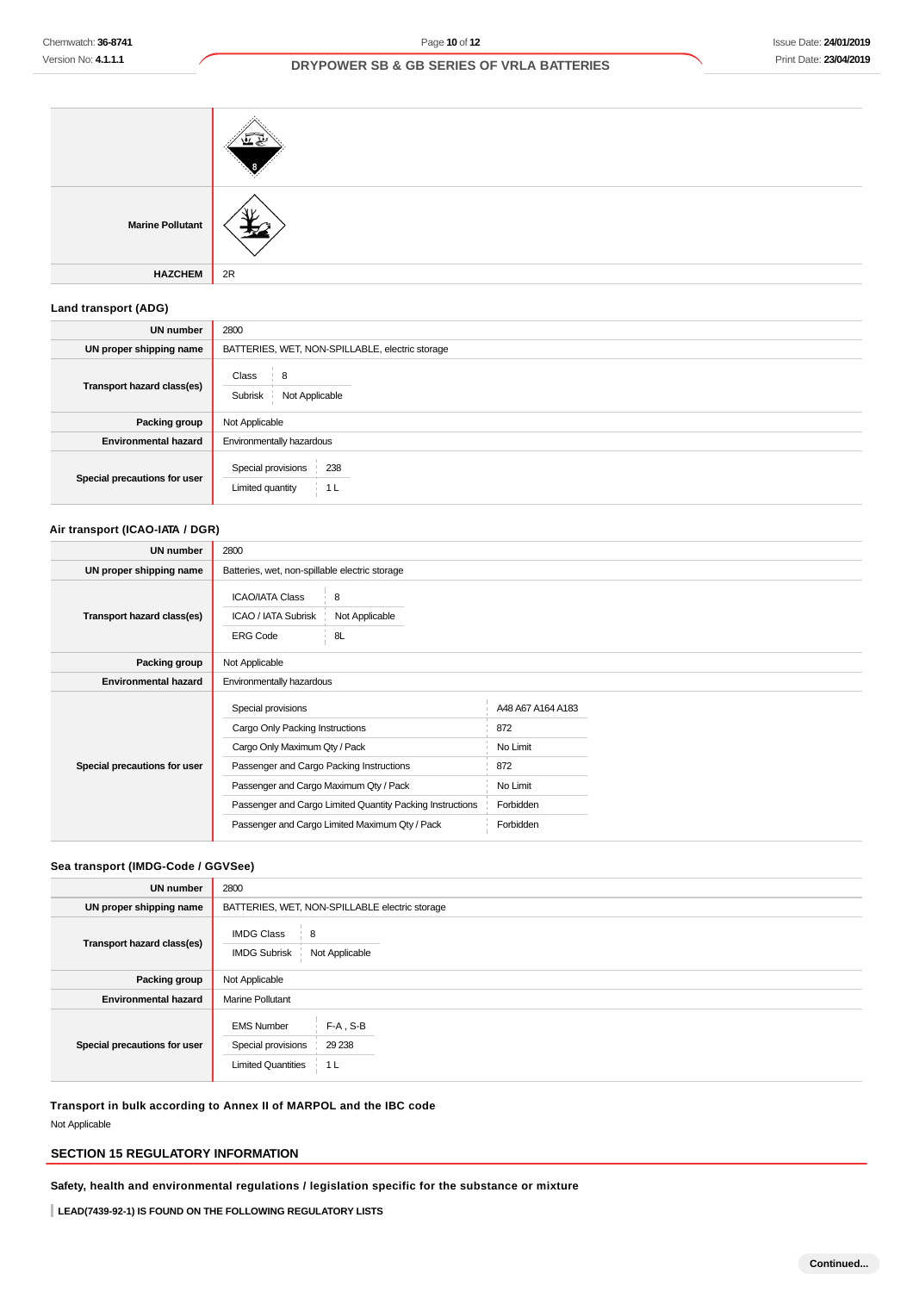## Issue Date: **24/01/2019** Print Date: **23/04/2019**

## **DRYPOWER SB & GB SERIES OF VRLA BATTERIES**

| <b>Marine Pollutant</b> |    |
|-------------------------|----|
| <b>HAZCHEM</b>          | 2R |

# **Land transport (ADG)**

| <b>UN number</b>             | 2800                                                            |
|------------------------------|-----------------------------------------------------------------|
| UN proper shipping name      | BATTERIES, WET, NON-SPILLABLE, electric storage                 |
| Transport hazard class(es)   | Class<br>8<br>Subrisk<br>Not Applicable                         |
| Packing group                | Not Applicable                                                  |
| <b>Environmental hazard</b>  | Environmentally hazardous                                       |
| Special precautions for user | Special provisions<br>238<br>Limited quantity<br>1 <sub>L</sub> |

## **Air transport (ICAO-IATA / DGR)**

| UN number                    | 2800                                                                                                                                                                                                                                                                                        |                           |                                                                                   |  |
|------------------------------|---------------------------------------------------------------------------------------------------------------------------------------------------------------------------------------------------------------------------------------------------------------------------------------------|---------------------------|-----------------------------------------------------------------------------------|--|
| UN proper shipping name      | Batteries, wet, non-spillable electric storage                                                                                                                                                                                                                                              |                           |                                                                                   |  |
| Transport hazard class(es)   | <b>ICAO/IATA Class</b><br>ICAO / IATA Subrisk<br><b>ERG Code</b>                                                                                                                                                                                                                            | 8<br>Not Applicable<br>8L |                                                                                   |  |
| Packing group                | Not Applicable                                                                                                                                                                                                                                                                              |                           |                                                                                   |  |
| <b>Environmental hazard</b>  | Environmentally hazardous                                                                                                                                                                                                                                                                   |                           |                                                                                   |  |
| Special precautions for user | Special provisions<br>Cargo Only Packing Instructions<br>Cargo Only Maximum Qty / Pack<br>Passenger and Cargo Packing Instructions<br>Passenger and Cargo Maximum Qty / Pack<br>Passenger and Cargo Limited Quantity Packing Instructions<br>Passenger and Cargo Limited Maximum Qty / Pack |                           | A48 A67 A164 A183<br>872<br>No Limit<br>872<br>No Limit<br>Forbidden<br>Forbidden |  |

#### **Sea transport (IMDG-Code / GGVSee)**

| <b>UN number</b>             | 2800                                                                                                   |  |  |
|------------------------------|--------------------------------------------------------------------------------------------------------|--|--|
| UN proper shipping name      | BATTERIES, WET, NON-SPILLABLE electric storage                                                         |  |  |
| Transport hazard class(es)   | <b>IMDG Class</b><br>8<br>Not Applicable<br><b>IMDG Subrisk</b>                                        |  |  |
| Packing group                | Not Applicable                                                                                         |  |  |
| <b>Environmental hazard</b>  | <b>Marine Pollutant</b>                                                                                |  |  |
| Special precautions for user | $F-A$ , S-B<br><b>EMS Number</b><br>Special provisions<br>29 238<br><b>Limited Quantities</b><br>∣ 1 L |  |  |

**Transport in bulk according to Annex II of MARPOL and the IBC code** Not Applicable

## **SECTION 15 REGULATORY INFORMATION**

**Safety, health and environmental regulations / legislation specific for the substance or mixture**

**LEAD(7439-92-1) IS FOUND ON THE FOLLOWING REGULATORY LISTS**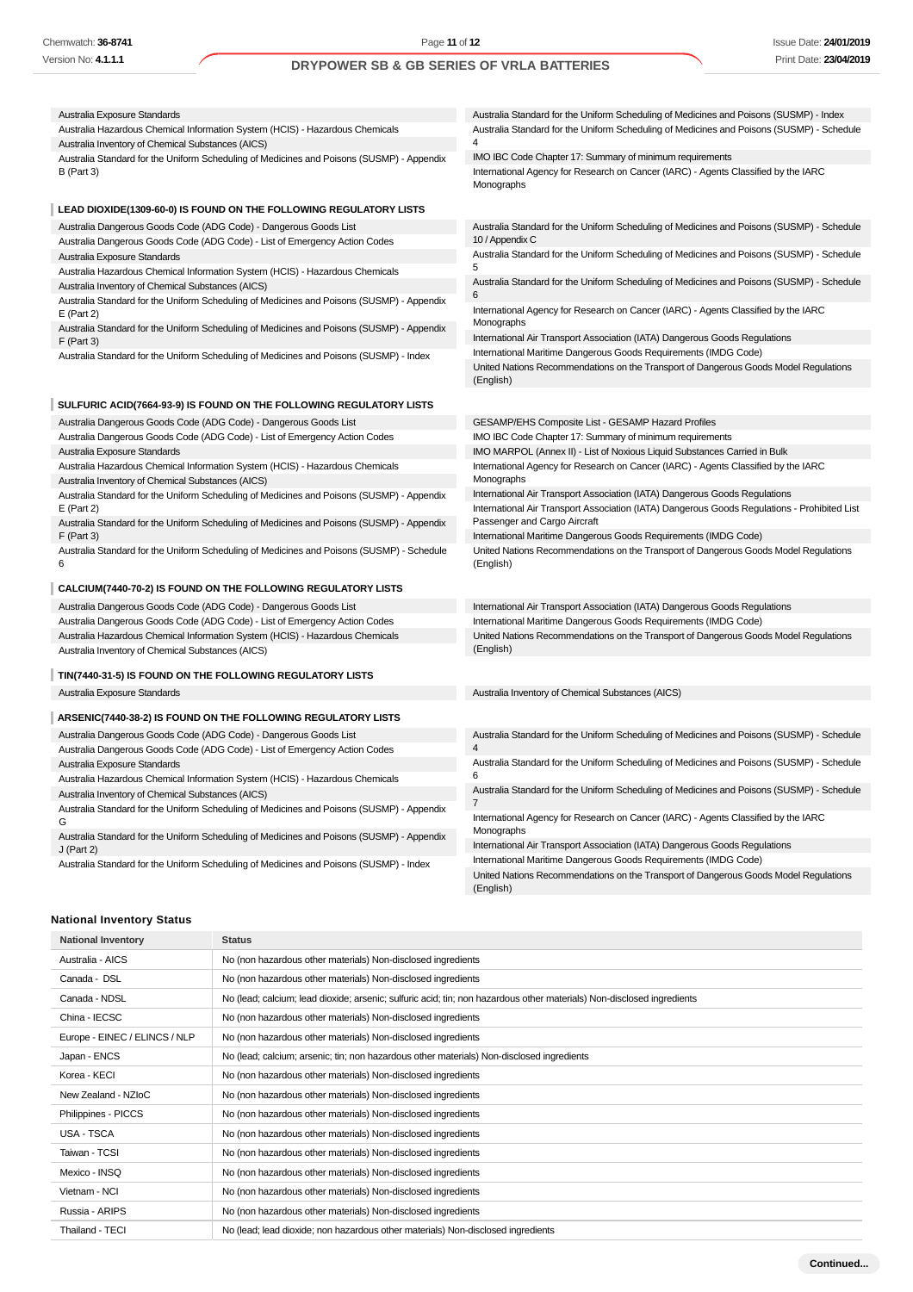| Australia Exposure Standards                                                                                                      | Australia Standard for the Uniform Scheduling of Medicines and Poisons (SUSMP) - Index                                                                  |
|-----------------------------------------------------------------------------------------------------------------------------------|---------------------------------------------------------------------------------------------------------------------------------------------------------|
| Australia Hazardous Chemical Information System (HCIS) - Hazardous Chemicals<br>Australia Inventory of Chemical Substances (AICS) | Australia Standard for the Uniform Scheduling of Medicines and Poisons (SUSMP) - Schedule<br>4                                                          |
| Australia Standard for the Uniform Scheduling of Medicines and Poisons (SUSMP) - Appendix                                         | IMO IBC Code Chapter 17: Summary of minimum requirements                                                                                                |
| <b>B</b> (Part 3)                                                                                                                 | International Agency for Research on Cancer (IARC) - Agents Classified by the IARC<br>Monographs                                                        |
| LEAD DIOXIDE(1309-60-0) IS FOUND ON THE FOLLOWING REGULATORY LISTS                                                                |                                                                                                                                                         |
| Australia Dangerous Goods Code (ADG Code) - Dangerous Goods List                                                                  | Australia Standard for the Uniform Scheduling of Medicines and Poisons (SUSMP) - Schedule                                                               |
| Australia Dangerous Goods Code (ADG Code) - List of Emergency Action Codes                                                        | 10 / Appendix C                                                                                                                                         |
| Australia Exposure Standards                                                                                                      | Australia Standard for the Uniform Scheduling of Medicines and Poisons (SUSMP) - Schedule                                                               |
| Australia Hazardous Chemical Information System (HCIS) - Hazardous Chemicals                                                      | 5<br>Australia Standard for the Uniform Scheduling of Medicines and Poisons (SUSMP) - Schedule                                                          |
| Australia Inventory of Chemical Substances (AICS)                                                                                 | 6                                                                                                                                                       |
| Australia Standard for the Uniform Scheduling of Medicines and Poisons (SUSMP) - Appendix<br>$E$ (Part 2)                         | International Agency for Research on Cancer (IARC) - Agents Classified by the IARC<br>Monographs                                                        |
| Australia Standard for the Uniform Scheduling of Medicines and Poisons (SUSMP) - Appendix                                         | International Air Transport Association (IATA) Dangerous Goods Regulations                                                                              |
| $F$ (Part 3)<br>Australia Standard for the Uniform Scheduling of Medicines and Poisons (SUSMP) - Index                            | International Maritime Dangerous Goods Requirements (IMDG Code)                                                                                         |
|                                                                                                                                   | United Nations Recommendations on the Transport of Dangerous Goods Model Regulations<br>(English)                                                       |
| SULFURIC ACID(7664-93-9) IS FOUND ON THE FOLLOWING REGULATORY LISTS                                                               |                                                                                                                                                         |
| Australia Dangerous Goods Code (ADG Code) - Dangerous Goods List                                                                  | GESAMP/EHS Composite List - GESAMP Hazard Profiles                                                                                                      |
| Australia Dangerous Goods Code (ADG Code) - List of Emergency Action Codes                                                        | IMO IBC Code Chapter 17: Summary of minimum requirements                                                                                                |
| Australia Exposure Standards                                                                                                      | IMO MARPOL (Annex II) - List of Noxious Liquid Substances Carried in Bulk                                                                               |
| Australia Hazardous Chemical Information System (HCIS) - Hazardous Chemicals                                                      | International Agency for Research on Cancer (IARC) - Agents Classified by the IARC                                                                      |
| Australia Inventory of Chemical Substances (AICS)                                                                                 | Monographs                                                                                                                                              |
| Australia Standard for the Uniform Scheduling of Medicines and Poisons (SUSMP) - Appendix                                         | International Air Transport Association (IATA) Dangerous Goods Regulations                                                                              |
| $E$ (Part 2)                                                                                                                      | International Air Transport Association (IATA) Dangerous Goods Regulations - Prohibited List                                                            |
| Australia Standard for the Uniform Scheduling of Medicines and Poisons (SUSMP) - Appendix                                         | Passenger and Cargo Aircraft                                                                                                                            |
| $F$ (Part 3)<br>Australia Standard for the Uniform Scheduling of Medicines and Poisons (SUSMP) - Schedule                         | International Maritime Dangerous Goods Requirements (IMDG Code)<br>United Nations Recommendations on the Transport of Dangerous Goods Model Regulations |
| 6                                                                                                                                 | (English)                                                                                                                                               |
| CALCIUM(7440-70-2) IS FOUND ON THE FOLLOWING REGULATORY LISTS                                                                     |                                                                                                                                                         |
| Australia Dangerous Goods Code (ADG Code) - Dangerous Goods List                                                                  | International Air Transport Association (IATA) Dangerous Goods Regulations                                                                              |
| Australia Dangerous Goods Code (ADG Code) - List of Emergency Action Codes                                                        | International Maritime Dangerous Goods Requirements (IMDG Code)                                                                                         |
| Australia Hazardous Chemical Information System (HCIS) - Hazardous Chemicals<br>Australia Inventory of Chemical Substances (AICS) | United Nations Recommendations on the Transport of Dangerous Goods Model Regulations<br>(English)                                                       |
| TIN(7440-31-5) IS FOUND ON THE FOLLOWING REGULATORY LISTS                                                                         |                                                                                                                                                         |
| Australia Exposure Standards                                                                                                      | Australia Inventory of Chemical Substances (AICS)                                                                                                       |
| ARSENIC(7440-38-2) IS FOUND ON THE FOLLOWING REGULATORY LISTS                                                                     |                                                                                                                                                         |
| Australia Dangerous Goods Code (ADG Code) - Dangerous Goods List                                                                  | Australia Standard for the Uniform Scheduling of Medicines and Poisons (SUSMP) - Schedule                                                               |
| Australia Dangerous Goods Code (ADG Code) - List of Emergency Action Codes                                                        | 4                                                                                                                                                       |
| Australia Exposure Standards                                                                                                      | Australia Standard for the Uniform Scheduling of Medicines and Poisons (SUSMP) - Schedule<br>6                                                          |
| Australia Hazardous Chemical Information System (HCIS) - Hazardous Chemicals                                                      | Australia Standard for the Uniform Scheduling of Medicines and Poisons (SUSMP) - Schedule                                                               |
| Australia Inventory of Chemical Substances (AICS)                                                                                 | 7                                                                                                                                                       |
| Australia Standard for the Uniform Scheduling of Medicines and Poisons (SUSMP) - Appendix<br>G                                    | International Agency for Research on Cancer (IARC) - Agents Classified by the IARC<br>Monographs                                                        |
| Australia Standard for the Uniform Scheduling of Medicines and Poisons (SUSMP) - Appendix                                         | International Air Transport Association (IATA) Dangerous Goods Regulations                                                                              |
| $J$ (Part 2)<br>Australia Standard for the Uniform Scheduling of Medicines and Poisons (SUSMP) - Index                            | International Maritime Dangerous Goods Requirements (IMDG Code)                                                                                         |
|                                                                                                                                   | United Nations Recommendations on the Transport of Dangerous Goods Model Regulations<br>(English)                                                       |
|                                                                                                                                   |                                                                                                                                                         |

## **National Inventory Status**

| <b>National Inventory</b>     | <b>Status</b>                                                                                                          |
|-------------------------------|------------------------------------------------------------------------------------------------------------------------|
| Australia - AICS              | No (non hazardous other materials) Non-disclosed ingredients                                                           |
| Canada - DSL                  | No (non hazardous other materials) Non-disclosed ingredients                                                           |
| Canada - NDSL                 | No (lead; calcium; lead dioxide; arsenic; sulfuric acid; tin; non hazardous other materials) Non-disclosed ingredients |
| China - IECSC                 | No (non hazardous other materials) Non-disclosed ingredients                                                           |
| Europe - EINEC / ELINCS / NLP | No (non hazardous other materials) Non-disclosed ingredients                                                           |
| Japan - ENCS                  | No (lead; calcium; arsenic; tin; non hazardous other materials) Non-disclosed ingredients                              |
| Korea - KECI                  | No (non hazardous other materials) Non-disclosed ingredients                                                           |
| New Zealand - NZIoC           | No (non hazardous other materials) Non-disclosed ingredients                                                           |
| Philippines - PICCS           | No (non hazardous other materials) Non-disclosed ingredients                                                           |
| USA - TSCA                    | No (non hazardous other materials) Non-disclosed ingredients                                                           |
| Taiwan - TCSI                 | No (non hazardous other materials) Non-disclosed ingredients                                                           |
| Mexico - INSQ                 | No (non hazardous other materials) Non-disclosed ingredients                                                           |
| Vietnam - NCI                 | No (non hazardous other materials) Non-disclosed ingredients                                                           |
| Russia - ARIPS                | No (non hazardous other materials) Non-disclosed ingredients                                                           |
| Thailand - TECI               | No (lead; lead dioxide; non hazardous other materials) Non-disclosed ingredients                                       |